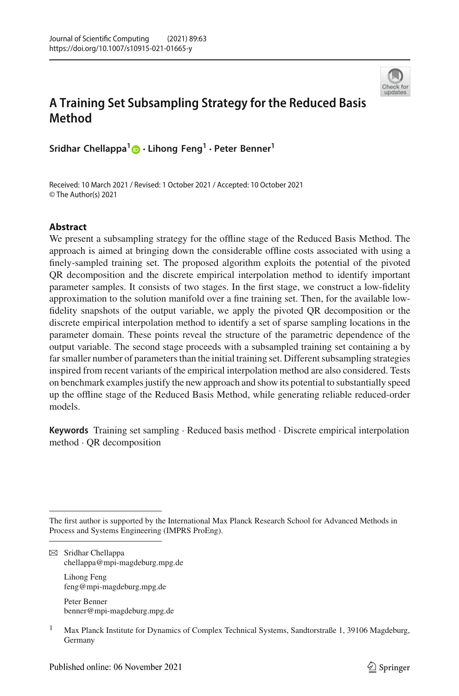

# **A Training Set Subsampling Strategy for the Reduced Basis Method**

**Sridhar Chellappa[1](http://orcid.org/0000-0002-7288-3880) · Lihong Feng<sup>1</sup> · Peter Benner1**

Received: 10 March 2021 / Revised: 1 October 2021 / Accepted: 10 October 2021 © The Author(s) 2021

# **Abstract**

We present a subsampling strategy for the offline stage of the Reduced Basis Method. The approach is aimed at bringing down the considerable offline costs associated with using a finely-sampled training set. The proposed algorithm exploits the potential of the pivoted QR decomposition and the discrete empirical interpolation method to identify important parameter samples. It consists of two stages. In the first stage, we construct a low-fidelity approximation to the solution manifold over a fine training set. Then, for the available lowfidelity snapshots of the output variable, we apply the pivoted QR decomposition or the discrete empirical interpolation method to identify a set of sparse sampling locations in the parameter domain. These points reveal the structure of the parametric dependence of the output variable. The second stage proceeds with a subsampled training set containing a by far smaller number of parameters than the initial training set. Different subsampling strategies inspired from recent variants of the empirical interpolation method are also considered. Tests on benchmark examples justify the new approach and show its potential to substantially speed up the offline stage of the Reduced Basis Method, while generating reliable reduced-order models.

**Keywords** Training set sampling · Reduced basis method · Discrete empirical interpolation method · QR decomposition

 $\boxtimes$  Sridhar Chellappa chellappa@mpi-magdeburg.mpg.de

> Lihong Feng feng@mpi-magdeburg.mpg.de

Peter Benner benner@mpi-magdeburg.mpg.de

The first author is supported by the International Max Planck Research School for Advanced Methods in Process and Systems Engineering (IMPRS ProEng).

<sup>&</sup>lt;sup>1</sup> Max Planck Institute for Dynamics of Complex Technical Systems, Sandtorstraße 1, 39106 Magdeburg, Germany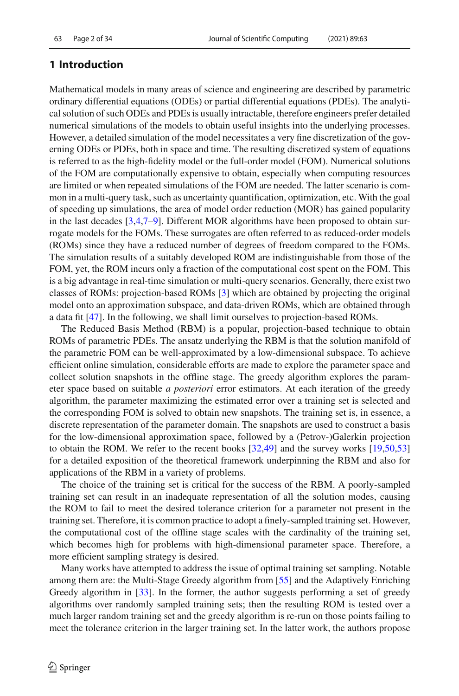# **1 Introduction**

Mathematical models in many areas of science and engineering are described by parametric ordinary differential equations (ODEs) or partial differential equations (PDEs). The analytical solution of such ODEs and PDEs is usually intractable, therefore engineers prefer detailed numerical simulations of the models to obtain useful insights into the underlying processes. However, a detailed simulation of the model necessitates a very fine discretization of the governing ODEs or PDEs, both in space and time. The resulting discretized system of equations is referred to as the high-fidelity model or the full-order model (FOM). Numerical solutions of the FOM are computationally expensive to obtain, especially when computing resources are limited or when repeated simulations of the FOM are needed. The latter scenario is common in a multi-query task, such as uncertainty quantification, optimization, etc. With the goal of speeding up simulations, the area of model order reduction (MOR) has gained popularity in the last decades [\[3](#page-30-0)[,4](#page-30-1)[,7](#page-30-2)[–9](#page-31-0)]. Different MOR algorithms have been proposed to obtain surrogate models for the FOMs. These surrogates are often referred to as reduced-order models (ROMs) since they have a reduced number of degrees of freedom compared to the FOMs. The simulation results of a suitably developed ROM are indistinguishable from those of the FOM, yet, the ROM incurs only a fraction of the computational cost spent on the FOM. This is a big advantage in real-time simulation or multi-query scenarios. Generally, there exist two classes of ROMs: projection-based ROMs [\[3\]](#page-30-0) which are obtained by projecting the original model onto an approximation subspace, and data-driven ROMs, which are obtained through a data fit [\[47\]](#page-32-0). In the following, we shall limit ourselves to projection-based ROMs.

The Reduced Basis Method (RBM) is a popular, projection-based technique to obtain ROMs of parametric PDEs. The ansatz underlying the RBM is that the solution manifold of the parametric FOM can be well-approximated by a low-dimensional subspace. To achieve efficient online simulation, considerable efforts are made to explore the parameter space and collect solution snapshots in the offline stage. The greedy algorithm explores the parameter space based on suitable *a posteriori* error estimators. At each iteration of the greedy algorithm, the parameter maximizing the estimated error over a training set is selected and the corresponding FOM is solved to obtain new snapshots. The training set is, in essence, a discrete representation of the parameter domain. The snapshots are used to construct a basis for the low-dimensional approximation space, followed by a (Petrov-)Galerkin projection to obtain the ROM. We refer to the recent books [\[32](#page-32-1)[,49](#page-32-2)] and the survey works [\[19](#page-31-1)[,50](#page-32-3)[,53\]](#page-33-0) for a detailed exposition of the theoretical framework underpinning the RBM and also for applications of the RBM in a variety of problems.

The choice of the training set is critical for the success of the RBM. A poorly-sampled training set can result in an inadequate representation of all the solution modes, causing the ROM to fail to meet the desired tolerance criterion for a parameter not present in the training set. Therefore, it is common practice to adopt a finely-sampled training set. However, the computational cost of the offline stage scales with the cardinality of the training set, which becomes high for problems with high-dimensional parameter space. Therefore, a more efficient sampling strategy is desired.

Many works have attempted to address the issue of optimal training set sampling. Notable among them are: the Multi-Stage Greedy algorithm from [\[55\]](#page-33-1) and the Adaptively Enriching Greedy algorithm in [\[33](#page-32-4)]. In the former, the author suggests performing a set of greedy algorithms over randomly sampled training sets; then the resulting ROM is tested over a much larger random training set and the greedy algorithm is re-run on those points failing to meet the tolerance criterion in the larger training set. In the latter work, the authors propose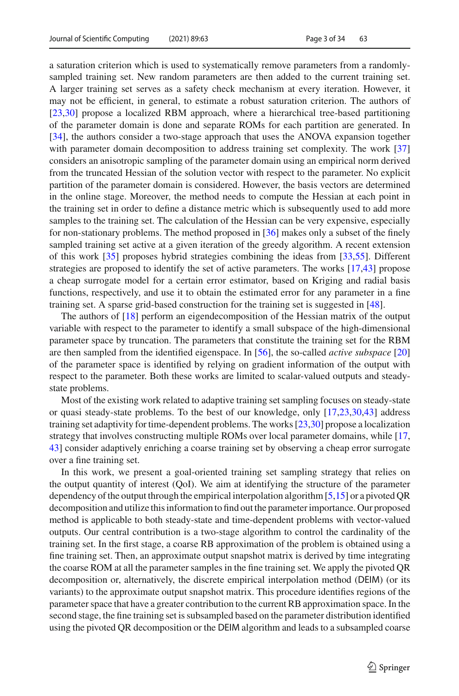a saturation criterion which is used to systematically remove parameters from a randomlysampled training set. New random parameters are then added to the current training set. A larger training set serves as a safety check mechanism at every iteration. However, it may not be efficient, in general, to estimate a robust saturation criterion. The authors of [\[23](#page-31-2)[,30\]](#page-31-3) propose a localized RBM approach, where a hierarchical tree-based partitioning of the parameter domain is done and separate ROMs for each partition are generated. In [\[34\]](#page-32-5), the authors consider a two-stage approach that uses the ANOVA expansion together with parameter domain decomposition to address training set complexity. The work [\[37\]](#page-32-6) considers an anisotropic sampling of the parameter domain using an empirical norm derived from the truncated Hessian of the solution vector with respect to the parameter. No explicit partition of the parameter domain is considered. However, the basis vectors are determined in the online stage. Moreover, the method needs to compute the Hessian at each point in the training set in order to define a distance metric which is subsequently used to add more samples to the training set. The calculation of the Hessian can be very expensive, especially for non-stationary problems. The method proposed in [\[36](#page-32-7)] makes only a subset of the finely sampled training set active at a given iteration of the greedy algorithm. A recent extension of this work [\[35\]](#page-32-8) proposes hybrid strategies combining the ideas from [\[33](#page-32-4)[,55\]](#page-33-1). Different strategies are proposed to identify the set of active parameters. The works [\[17](#page-31-4)[,43](#page-32-9)] propose a cheap surrogate model for a certain error estimator, based on Kriging and radial basis functions, respectively, and use it to obtain the estimated error for any parameter in a fine training set. A sparse grid-based construction for the training set is suggested in [\[48\]](#page-32-10).

The authors of [\[18\]](#page-31-5) perform an eigendecomposition of the Hessian matrix of the output variable with respect to the parameter to identify a small subspace of the high-dimensional parameter space by truncation. The parameters that constitute the training set for the RBM are then sampled from the identified eigenspace. In [\[56](#page-33-2)], the so-called *active subspace* [\[20\]](#page-31-6) of the parameter space is identified by relying on gradient information of the output with respect to the parameter. Both these works are limited to scalar-valued outputs and steadystate problems.

Most of the existing work related to adaptive training set sampling focuses on steady-state or quasi steady-state problems. To the best of our knowledge, only [\[17](#page-31-4)[,23](#page-31-2)[,30](#page-31-3)[,43](#page-32-9)] address training set adaptivity for time-dependent problems. The works [\[23](#page-31-2)[,30\]](#page-31-3) propose a localization strategy that involves constructing multiple ROMs over local parameter domains, while [\[17,](#page-31-4) [43\]](#page-32-9) consider adaptively enriching a coarse training set by observing a cheap error surrogate over a fine training set.

In this work, we present a goal-oriented training set sampling strategy that relies on the output quantity of interest (QoI). We aim at identifying the structure of the parameter dependency of the output through the empirical interpolation algorithm [\[5](#page-30-3)[,15\]](#page-31-7) or a pivoted QR decomposition and utilize this information to find out the parameter importance. Our proposed method is applicable to both steady-state and time-dependent problems with vector-valued outputs. Our central contribution is a two-stage algorithm to control the cardinality of the training set. In the first stage, a coarse RB approximation of the problem is obtained using a fine training set. Then, an approximate output snapshot matrix is derived by time integrating the coarse ROM at all the parameter samples in the fine training set. We apply the pivoted QR decomposition or, alternatively, the discrete empirical interpolation method (DEIM) (or its variants) to the approximate output snapshot matrix. This procedure identifies regions of the parameter space that have a greater contribution to the current RB approximation space. In the second stage, the fine training set is subsampled based on the parameter distribution identified using the pivoted QR decomposition or the DEIM algorithm and leads to a subsampled coarse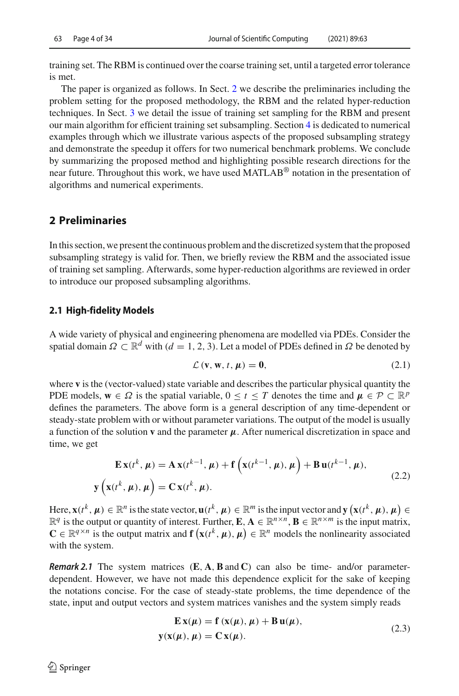training set. The RBM is continued over the coarse training set, until a targeted error tolerance is met.

The paper is organized as follows. In Sect. [2](#page-3-0) we describe the preliminaries including the problem setting for the proposed methodology, the RBM and the related hyper-reduction techniques. In Sect. [3](#page-7-0) we detail the issue of training set sampling for the RBM and present our main algorithm for efficient training set subsampling. Section [4](#page-18-0) is dedicated to numerical examples through which we illustrate various aspects of the proposed subsampling strategy and demonstrate the speedup it offers for two numerical benchmark problems. We conclude by summarizing the proposed method and highlighting possible research directions for the near future. Throughout this work, we have used MATLAB® notation in the presentation of algorithms and numerical experiments.

# <span id="page-3-0"></span>**2 Preliminaries**

In this section, we present the continuous problem and the discretized system that the proposed subsampling strategy is valid for. Then, we briefly review the RBM and the associated issue of training set sampling. Afterwards, some hyper-reduction algorithms are reviewed in order to introduce our proposed subsampling algorithms.

### **2.1 High-fidelity Models**

A wide variety of physical and engineering phenomena are modelled via PDEs. Consider the spatial domain  $\Omega \subset \mathbb{R}^d$  with  $(d = 1, 2, 3)$ . Let a model of PDEs defined in  $\Omega$  be denoted by

$$
\mathcal{L}(\mathbf{v}, \mathbf{w}, t, \mu) = \mathbf{0},\tag{2.1}
$$

where **v** is the (vector-valued) state variable and describes the particular physical quantity the PDE models,  $\mathbf{w} \in \Omega$  is the spatial variable,  $0 \le t \le T$  denotes the time and  $\mu \in \mathcal{P} \subset \mathbb{R}^p$ defines the parameters. The above form is a general description of any time-dependent or steady-state problem with or without parameter variations. The output of the model is usually a function of the solution **v** and the parameter  $\mu$ . After numerical discretization in space and time, we get

<span id="page-3-1"></span>
$$
\mathbf{E}\mathbf{x}(t^k, \mu) = \mathbf{A}\mathbf{x}(t^{k-1}, \mu) + \mathbf{f}\left(\mathbf{x}(t^{k-1}, \mu), \mu\right) + \mathbf{B}\mathbf{u}(t^{k-1}, \mu),
$$
  

$$
\mathbf{y}\left(\mathbf{x}(t^k, \mu), \mu\right) = \mathbf{C}\mathbf{x}(t^k, \mu).
$$
 (2.2)

Here,  $\mathbf{x}(t^k, \mu) \in \mathbb{R}^n$  is the state vector,  $\mathbf{u}(t^k, \mu) \in \mathbb{R}^m$  is the input vector and  $\mathbf{y}(\mathbf{x}(t^k, \mu), \mu) \in$  $\mathbb{R}^q$  is the output or quantity of interest. Further, **E**,  $\mathbf{A} \in \mathbb{R}^{n \times n}$ ,  $\mathbf{B} \in \mathbb{R}^{n \times m}$  is the input matrix,  $\mathbf{C} \in \mathbb{R}^{q \times n}$  is the output matrix and  $\mathbf{f}(\mathbf{x}(t^k, \mu), \mu) \in \mathbb{R}^n$  models the nonlinearity associated with the system.

*Remark 2.1* The system matrices (**E**, **A**,**B**and **C**) can also be time- and/or parameterdependent. However, we have not made this dependence explicit for the sake of keeping the notations concise. For the case of steady-state problems, the time dependence of the state, input and output vectors and system matrices vanishes and the system simply reads

<span id="page-3-2"></span>
$$
\mathbf{E}\mathbf{x}(\mu) = \mathbf{f}\left(\mathbf{x}(\mu), \mu\right) + \mathbf{B}\mathbf{u}(\mu),
$$
  
\n
$$
\mathbf{y}(\mathbf{x}(\mu), \mu) = \mathbf{C}\mathbf{x}(\mu).
$$
 (2.3)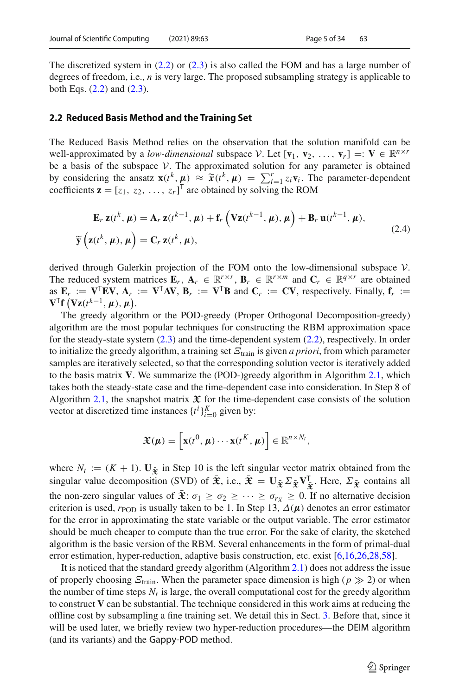The discretized system in [\(2.2\)](#page-3-1) or [\(2.3\)](#page-3-2) is also called the FOM and has a large number of degrees of freedom, i.e., *n* is very large. The proposed subsampling strategy is applicable to both Eqs. [\(2.2\)](#page-3-1) and [\(2.3\)](#page-3-2).

### **2.2 Reduced Basis Method and the Training Set**

The Reduced Basis Method relies on the observation that the solution manifold can be well-approximated by a *low-dimensional* subspace *V*. Let  $[\mathbf{v}_1, \mathbf{v}_2, \dots, \mathbf{v}_r] =: \mathbf{V} \in \mathbb{R}^{n \times r}$ be a basis of the subspace  $V$ . The approximated solution for any parameter is obtained by considering the ansatz  $\mathbf{x}(t^k, \mu) \approx \tilde{\mathbf{x}}(t^k, \mu) = \sum_{i=1}^r z_i \mathbf{v}_i$ . The parameter-dependent coefficients  $\mathbf{z} = [z_1, z_2, z_1]^\top$  are obtained by solving the ROM coefficients  $\mathbf{z} = [z_1, z_2, \dots, z_r]^T$  are obtained by solving the ROM

$$
\mathbf{E}_r \mathbf{z}(t^k, \mu) = \mathbf{A}_r \mathbf{z}(t^{k-1}, \mu) + \mathbf{f}_r \left( \mathbf{V} \mathbf{z}(t^{k-1}, \mu), \mu \right) + \mathbf{B}_r \mathbf{u}(t^{k-1}, \mu),
$$
\n
$$
\widetilde{\mathbf{y}} \left( \mathbf{z}(t^k, \mu), \mu \right) = \mathbf{C}_r \mathbf{z}(t^k, \mu),
$$
\n(2.4)

derived through Galerkin projection of the FOM onto the low-dimensional subspace *V*. The reduced system matrices  $\mathbf{E}_r$ ,  $\mathbf{A}_r \in \mathbb{R}^{r \times r}$ ,  $\mathbf{B}_r \in \mathbb{R}^{r \times m}$  and  $\mathbf{C}_r \in \mathbb{R}^{q \times r}$  are obtained as  $\mathbf{E}_r := \mathbf{V}^\mathsf{T} \mathbf{E} \mathbf{V}, \mathbf{A}_r := \mathbf{V}^\mathsf{T} \mathbf{A} \mathbf{V}, \mathbf{B}_r := \mathbf{V}^\mathsf{T} \mathbf{B}$  and  $\mathbf{C}_r := \mathbf{C} \mathbf{V}$ , respectively. Finally,  $\mathbf{f}_r :=$  $\mathbf{V}^{\mathsf{T}}\mathbf{f}$   $(\mathbf{Vz}(t^{k-1}, \mu), \mu)$ .

The greedy algorithm or the POD-greedy (Proper Orthogonal Decomposition-greedy) algorithm are the most popular techniques for constructing the RBM approximation space for the steady-state system  $(2.3)$  and the time-dependent system  $(2.2)$ , respectively. In order to initialize the greedy algorithm, a training set  $E<sub>train</sub>$  is given *a priori*, from which parameter samples are iteratively selected, so that the corresponding solution vector is iteratively added to the basis matrix **V**. We summarize the (POD-)greedy algorithm in Algorithm [2.1,](#page-5-0) which takes both the steady-state case and the time-dependent case into consideration. In Step 8 of Algorithm [2.1,](#page-5-0) the snapshot matrix  $\mathfrak X$  for the time-dependent case consists of the solution vector at discretized time instances  $\{t^i\}_{i=0}^K$  given by:

$$
\mathfrak{X}(\boldsymbol{\mu}) = \left[\mathbf{x}(t^0, \boldsymbol{\mu}) \cdots \mathbf{x}(t^K, \boldsymbol{\mu})\right] \in \mathbb{R}^{n \times N_t},
$$

where  $N_t := (K + 1)$ .  $U_{\bar{x}}$  in Step 10 is the left singular vector matrix obtained from the singular value decomposition (SVD) of  $\mathfrak{X}$ , i.e.,  $\mathfrak{X} = \mathbf{U}_{\tilde{\mathfrak{X}}} \Sigma_{\tilde{\mathfrak{X}}} \mathbf{V}_{\tilde{\mathfrak{X}}}^{\dagger}$ . Here,  $\Sigma_{\tilde{\mathfrak{X}}}$  contains all the non-zero singular values of  $\bar{\mathbf{x}}$ :  $\sigma_1 \geq \sigma_2 \geq \cdots \geq \sigma_{r_X} \geq 0$ . If no alternative decision criterion is used,  $r_{\text{POD}}$  is usually taken to be 1. In Step 13,  $\Delta(\mu)$  denotes an error estimator for the error in approximating the state variable or the output variable. The error estimator should be much cheaper to compute than the true error. For the sake of clarity, the sketched algorithm is the basic version of the RBM. Several enhancements in the form of primal-dual error estimation, hyper-reduction, adaptive basis construction, etc. exist [\[6](#page-30-4)[,16](#page-31-8)[,26](#page-31-9)[,28](#page-31-10)[,58](#page-33-3)].

It is noticed that the standard greedy algorithm (Algorithm [2.1\)](#page-5-0) does not address the issue of properly choosing  $\mathcal{E}_{\text{train}}$ . When the parameter space dimension is high ( $p \gg 2$ ) or when the number of time steps  $N_t$  is large, the overall computational cost for the greedy algorithm to construct  **can be substantial. The technique considered in this work aims at reducing the** offline cost by subsampling a fine training set. We detail this in Sect. [3.](#page-7-0) Before that, since it will be used later, we briefly review two hyper-reduction procedures—the DEIM algorithm (and its variants) and the Gappy-POD method.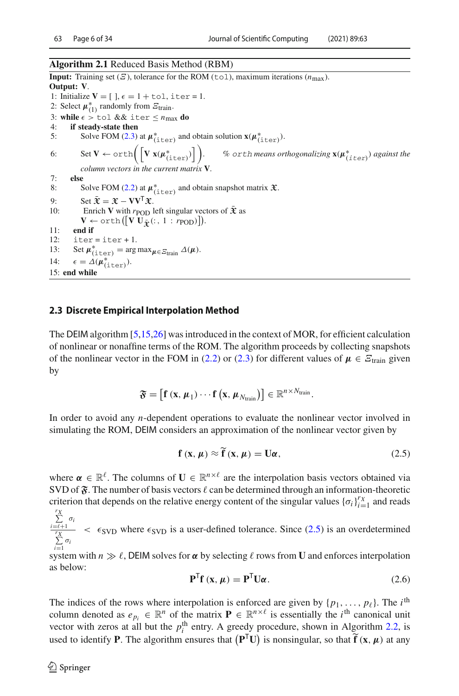### <span id="page-5-0"></span>**Algorithm 2.1** Reduced Basis Method (RBM)

**Input:** Training set  $(E)$ , tolerance for the ROM (tol), maximum iterations  $(n_{\text{max}})$ . **Output: V**. 1: Initialize  $V = [$ ,  $\epsilon = 1 + \text{tol}$ , iter = 1. 2: Select  $\mu_{(1)}^*$  randomly from  $\mathcal{Z}_{\text{train}}$ . 3: **while**  $\epsilon >$  tol && iter  $\le n_{\text{max}}$  do 4: **if steady-state then** if steady-state then 5: Solve FOM [\(2.3\)](#page-3-2) at  $\mu^*_{(\text{iter})}$  and obtain solution  $\mathbf{x}(\mu^*_{(\text{iter})})$ . 6: Set  $V \leftarrow \text{orth}\left(\left[V \mathbf{x}(\mu^*_{(\text{iter})})\right]\right)$ . We orth means orthogonalizing  $\mathbf{x}(\boldsymbol{\mu}^*_{(i\, \text{ter})})$  against the *column vectors in the current matrix* **V***.* 7: **else** 8: Solve FOM [\(2.2\)](#page-3-1) at  $\mu^*_{(\text{iter})}$  and obtain snapshot matrix  $\mathfrak{X}$ . 9: Set  $\tilde{\mathbf{x}} = \mathbf{x} - \mathbf{V}\mathbf{V}^{\mathsf{T}}\mathbf{\hat{x}}$ .<br>10: Enrich **V** with  $r_{\text{POD}}$ Enrich **V** with  $r_{\text{POD}}$  left singular vectors of  $\bar{\mathbf{\mathcal{X}}}$  as  $\mathbf{V} \leftarrow \text{orth}\left(\left[\mathbf{V} \mathbf{U}_{\mathbf{\bar{\mathfrak{X}}}}(:,1:r_{\text{POD}})\right]\right).$ 11: **end if** 12:  $\text{iter} = \text{iter} + 1$ . 13: Set  $\mu_{(\text{iter})}^* = \arg \max_{\mu \in \mathcal{E}_{\text{train}}} \Delta(\mu).$ 14:  $\epsilon = \Delta(\boldsymbol{\mu}_{(\text{iter})}^*).$ 15: **end while**

# <span id="page-5-3"></span>**2.3 Discrete Empirical Interpolation Method**

The DEIM algorithm [\[5](#page-30-3)[,15](#page-31-7)[,26](#page-31-9)] was introduced in the context of MOR, for efficient calculation of nonlinear or nonaffine terms of the ROM. The algorithm proceeds by collecting snapshots of the nonlinear vector in the FOM in [\(2.2\)](#page-3-1) or [\(2.3\)](#page-3-2) for different values of  $\mu \in \mathcal{E}_{\text{train}}$  given by

$$
\mathfrak{F} = \left[\mathbf{f}\left(\mathbf{x}, \boldsymbol{\mu}_1\right) \cdots \mathbf{f}\left(\mathbf{x}, \boldsymbol{\mu}_{N_{\text{train}}}\right)\right] \in \mathbb{R}^{n \times N_{\text{train}}}.
$$

In order to avoid any *n*-dependent operations to evaluate the nonlinear vector involved in simulating the ROM, DEIM considers an approximation of the nonlinear vector given by

<span id="page-5-1"></span>
$$
\mathbf{f}(\mathbf{x}, \mu) \approx \widetilde{\mathbf{f}}(\mathbf{x}, \mu) = \mathbf{U}\boldsymbol{\alpha},\tag{2.5}
$$

where  $\alpha \in \mathbb{R}^{\ell}$ . The columns of  $\mathbf{U} \in \mathbb{R}^{n \times \ell}$  are the interpolation basis vectors obtained via SVD of  $\mathfrak{F}$ . The number of basis vectors  $\ell$  can be determined through an information-theoretic criterion that depends on the relative energy content of the singular values  ${\{\sigma_i\}}_{i=1}^{r_X}$  and reads

*rX*  $i = \ell+1$ σ*i rX* σ*i*  $\lt$   $\epsilon$ <sub>SVD</sub> where  $\epsilon$ <sub>SVD</sub> is a user-defined tolerance. Since [\(2.5\)](#page-5-1) is an overdetermined

*i*=1<br>system with *n*  $\gg \ell$ , DEIM solves for *α* by selecting  $\ell$  rows from **U** and enforces interpolation<br>as below: as below:

<span id="page-5-2"></span>
$$
\mathbf{P}^{\mathsf{T}}\mathbf{f}(\mathbf{x},\mu) = \mathbf{P}^{\mathsf{T}}\mathbf{U}\alpha.
$$
 (2.6)

The indices of the rows where interpolation is enforced are given by  $\{p_1, \ldots, p_\ell\}$ . The *i*<sup>th</sup> column denoted as  $e_{p_i} \in \mathbb{R}^n$  of the matrix  $P \in \mathbb{R}^{n \times \ell}$  is essentially the *i*<sup>th</sup> canonical unit vector with zeros at all but the  $p_i^{\text{th}}$  entry. A greedy procedure, shown in Algorithm [2.2,](#page-6-0) is used to identify **P**. The algorithm ensures that  $(P<sup>T</sup>U)$  is nonsingular, so that  $\mathbf{f}(\mathbf{x}, \mu)$  at any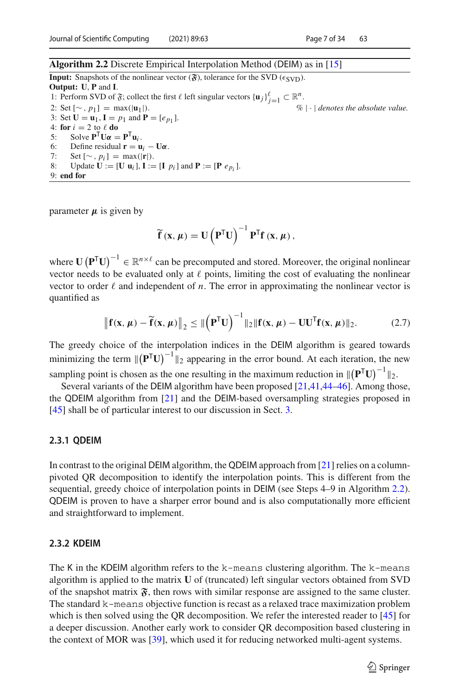### <span id="page-6-0"></span>**Algorithm 2.2** Discrete Empirical Interpolation Method (DEIM) as in [\[15\]](#page-31-7)

**Input:** Snapshots of the nonlinear vector  $(\mathbf{\hat{x}})$ , tolerance for the SVD ( $\epsilon$ sv<sub>D</sub>). **Output: U**, **P** and **I**. 1: Perform SVD of  $\mathfrak{F}$ ; collect the first  $\ell$  left singular vectors  $\{u_j\}_{j=1}^{\ell} \subset \mathbb{R}^n$ . 2: Set  $[\sim, p_1] = \max(|\mathbf{u}_1|)$ .  $\% | \cdot |$  *denotes the absolute value.* 3: Set  $U = u_1$ ,  $I = p_1$  and  $P = [e_{p_1}]$ . 4: **for**  $i = 2$  to  $\ell$  **do**<br>5: Solve  $P^{\text{T}}\text{H}\alpha$ 5: Solve  $\mathbf{P}^T \mathbf{U} \boldsymbol{\alpha} = \mathbf{P}^T \mathbf{u}_i$ .<br>6: Define residual  $\mathbf{r} = \mathbf{u}$ 6: Define residual  $\mathbf{r} = \mathbf{u}_i - \mathbf{U}\boldsymbol{\alpha}$ .<br>7: Set  $[\sim n_i] = \max(|\mathbf{r}|)$ 7: Set  $[\sim, p_i] = \max(|\mathbf{r}|)$ .<br>8: Undate **U** := [U **u**<sub>i</sub>], **I** := Update  $\mathbf{U} := [\mathbf{U} \mathbf{u}_i], \mathbf{I} := [\mathbf{I} \ p_i]$  and  $\mathbf{P} := [\mathbf{P} \ e_{n_i}].$ 

parameter  $\mu$  is given by

9: **end for**

$$
\widetilde{f}(x,\mu) = U\left(P^{T}U\right)^{-1}P^{T}f(x,\mu),
$$

where  $\mathbf{U}(\mathbf{P}^T \mathbf{U})^{-1} \in \mathbb{R}^{n \times \ell}$  can be precomputed and stored. Moreover, the original nonlinear vector needs to be evaluated only at  $\ell$  points, limiting the cost of evaluating the nonlinear vector to order  $\ell$  and independent of *n*. The error in approximating the nonlinear vector is quantified as

$$
\left\|\mathbf{f}(\mathbf{x},\boldsymbol{\mu}) - \widetilde{\mathbf{f}}(\mathbf{x},\boldsymbol{\mu})\right\|_{2} \leq \|\left(\mathbf{P}^{\mathsf{T}}\mathbf{U}\right)^{-1}\|_{2}\|\mathbf{f}(\mathbf{x},\boldsymbol{\mu}) - \mathbf{U}\mathbf{U}^{\mathsf{T}}\mathbf{f}(\mathbf{x},\boldsymbol{\mu})\|_{2}.
$$
 (2.7)

The greedy choice of the interpolation indices in the DEIM algorithm is geared towards<br>minimizing the term  $\|(\mathbf{D}^T \mathbf{L})^{-1}\|$  connecting in the error hand. At each iteration, the name minimizing the term  $\|(\mathbf{P}^T \mathbf{U})^{-1}\|_2$  appearing in the error bound. At each iteration, the new sampling point is chosen as the one resulting in the maximum reduction in  $\|(\mathbf{P}^T \mathbf{U})^{-1}\|_2$ .

Several variants of the DEIM algorithm have been proposed [\[21](#page-31-11)[,41](#page-32-11)[,44](#page-32-12)[–46\]](#page-32-13). Among those, the QDEIM algorithm from [\[21](#page-31-11)] and the DEIM-based oversampling strategies proposed in [\[45\]](#page-32-14) shall be of particular interest to our discussion in Sect. [3.](#page-7-0)

### **2.3.1 QDEIM**

In contrast to the original DEIM algorithm, the QDEIM approach from [\[21](#page-31-11)] relies on a columnpivoted QR decomposition to identify the interpolation points. This is different from the sequential, greedy choice of interpolation points in DEIM (see Steps 4–9 in Algorithm [2.2\)](#page-6-0). QDEIM is proven to have a sharper error bound and is also computationally more efficient and straightforward to implement.

# **2.3.2 KDEIM**

The K in the KDEIM algorithm refers to the k-means clustering algorithm. The k-means algorithm is applied to the matrix **U** of (truncated) left singular vectors obtained from SVD of the snapshot matrix  $\mathfrak{F}$ , then rows with similar response are assigned to the same cluster. The standard k-means objective function is recast as a relaxed trace maximization problem which is then solved using the QR decomposition. We refer the interested reader to [\[45](#page-32-14)] for a deeper discussion. Another early work to consider QR decomposition based clustering in the context of MOR was [\[39\]](#page-32-15), which used it for reducing networked multi-agent systems.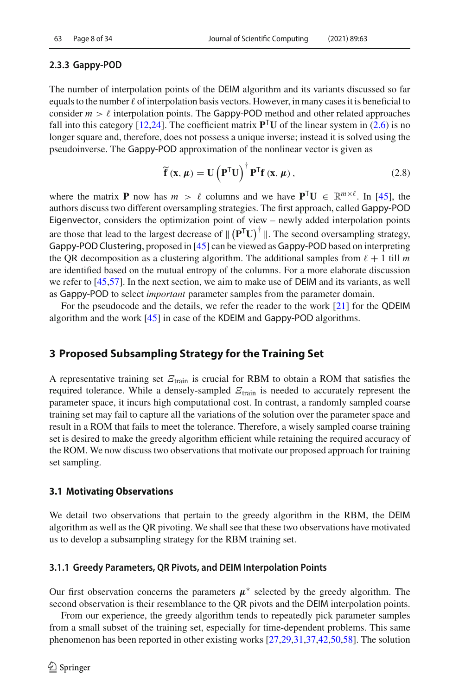# **2.3.3 Gappy-POD**

The number of interpolation points of the DEIM algorithm and its variants discussed so far equals to the number  $\ell$  of interpolation basis vectors. However, in many cases it is beneficial to consider  $m > \ell$  interpolation points. The Gappy-POD method and other related approaches fall into this category [\[12](#page-31-12)[,24](#page-31-13)]. The coefficient matrix  $\mathbf{P}^T\mathbf{U}$  of the linear system in [\(2.6\)](#page-5-2) is no longer square and, therefore, does not possess a unique inverse; instead it is solved using the pseudoinverse. The Gappy-POD approximation of the nonlinear vector is given as

$$
\widetilde{\mathbf{f}}\left(\mathbf{x},\mu\right)=\mathbf{U}\left(\mathbf{P}^{\mathsf{T}}\mathbf{U}\right)^{\dagger}\mathbf{P}^{\mathsf{T}}\mathbf{f}\left(\mathbf{x},\mu\right),\tag{2.8}
$$

where the matrix **P** now has  $m > \ell$  columns and we have  $\mathbf{P}^{\mathsf{T}}\mathbf{U} \in \mathbb{R}^{m \times \ell}$ . In [\[45](#page-32-14)], the authors discuss two different oversampling strategies. The first approach, called Gappy-POD Eigenvector, considers the optimization point of view – newly added interpolation points are those that lead to the largest decrease of  $\| (P^T U)^{\dagger} \|$ . The second oversampling strategy, Gappy-POD Clustering, proposed in [\[45\]](#page-32-14) can be viewed as Gappy-POD based on interpreting the QR decomposition as a clustering algorithm. The additional samples from  $\ell + 1$  till m are identified based on the mutual entropy of the columns. For a more elaborate discussion we refer to [\[45](#page-32-14)[,57](#page-33-4)]. In the next section, we aim to make use of DEIM and its variants, as well as Gappy-POD to select *important* parameter samples from the parameter domain.

For the pseudocode and the details, we refer the reader to the work [\[21](#page-31-11)] for the QDEIM algorithm and the work [\[45\]](#page-32-14) in case of the KDEIM and Gappy-POD algorithms.

# <span id="page-7-0"></span>**3 Proposed Subsampling Strategy for the Training Set**

A representative training set  $\mathcal{Z}_{\text{train}}$  is crucial for RBM to obtain a ROM that satisfies the required tolerance. While a densely-sampled  $E_{\text{train}}$  is needed to accurately represent the parameter space, it incurs high computational cost. In contrast, a randomly sampled coarse training set may fail to capture all the variations of the solution over the parameter space and result in a ROM that fails to meet the tolerance. Therefore, a wisely sampled coarse training set is desired to make the greedy algorithm efficient while retaining the required accuracy of the ROM. We now discuss two observations that motivate our proposed approach for training set sampling.

# **3.1 Motivating Observations**

We detail two observations that pertain to the greedy algorithm in the RBM, the DEIM algorithm as well as the QR pivoting. We shall see that these two observations have motivated us to develop a subsampling strategy for the RBM training set.

# <span id="page-7-1"></span>**3.1.1 Greedy Parameters, QR Pivots, and DEIM Interpolation Points**

Our first observation concerns the parameters  $\mu^*$  selected by the greedy algorithm. The second observation is their resemblance to the QR pivots and the DEIM interpolation points.

From our experience, the greedy algorithm tends to repeatedly pick parameter samples from a small subset of the training set, especially for time-dependent problems. This same phenomenon has been reported in other existing works [\[27](#page-31-14)[,29](#page-31-15)[,31](#page-32-16)[,37](#page-32-6)[,42](#page-32-17)[,50](#page-32-3)[,58](#page-33-3)]. The solution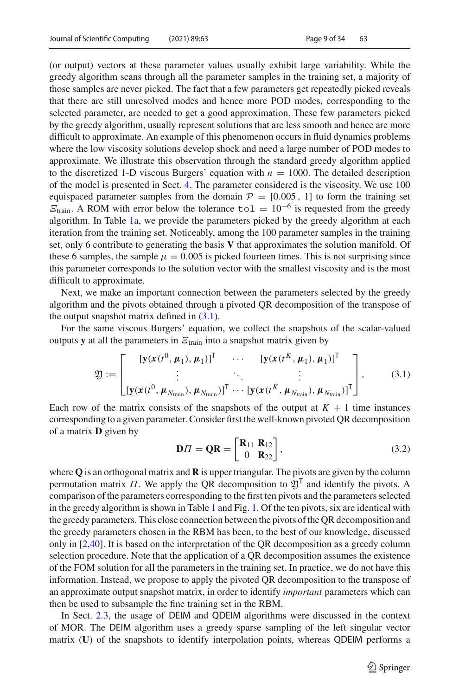(or output) vectors at these parameter values usually exhibit large variability. While the greedy algorithm scans through all the parameter samples in the training set, a majority of those samples are never picked. The fact that a few parameters get repeatedly picked reveals that there are still unresolved modes and hence more POD modes, corresponding to the selected parameter, are needed to get a good approximation. These few parameters picked by the greedy algorithm, usually represent solutions that are less smooth and hence are more difficult to approximate. An example of this phenomenon occurs in fluid dynamics problems where the low viscosity solutions develop shock and need a large number of POD modes to approximate. We illustrate this observation through the standard greedy algorithm applied to the discretized 1-D viscous Burgers' equation with  $n = 1000$ . The detailed description of the model is presented in Sect. [4.](#page-18-0) The parameter considered is the viscosity. We use 100 equispaced parameter samples from the domain  $P = [0.005, 1]$  to form the training set  $\mathcal{E}_{\text{train}}$ . A ROM with error below the tolerance to  $1 = 10^{-6}$  is requested from the greedy algorithm. In Table [1a](#page-9-0), we provide the parameters picked by the greedy algorithm at each iteration from the training set. Noticeably, among the 100 parameter samples in the training set, only 6 contribute to generating the basis **V** that approximates the solution manifold. Of these 6 samples, the sample  $\mu = 0.005$  is picked fourteen times. This is not surprising since this parameter corresponds to the solution vector with the smallest viscosity and is the most difficult to approximate.

Next, we make an important connection between the parameters selected by the greedy algorithm and the pivots obtained through a pivoted QR decomposition of the transpose of the output snapshot matrix defined in [\(3.1\)](#page-8-0).

For the same viscous Burgers' equation, we collect the snapshots of the scalar-valued outputs **y** at all the parameters in  $E$ <sub>train</sub> into a snapshot matrix given by

<span id="page-8-0"></span>
$$
\mathfrak{Y} := \begin{bmatrix} [\mathbf{y}(\mathbf{x}(t^0, \mu_1), \mu_1)]^{\mathsf{T}} & \cdots & [\mathbf{y}(\mathbf{x}(t^K, \mu_1), \mu_1)]^{\mathsf{T}} \\ \vdots & \ddots & \vdots \\ [\mathbf{y}(\mathbf{x}(t^0, \mu_{N_{\text{train}}}), \mu_{N_{\text{train}}})]^{\mathsf{T}} \cdots [\mathbf{y}(\mathbf{x}(t^K, \mu_{N_{\text{train}}}), \mu_{N_{\text{train}}})]^{\mathsf{T}} \end{bmatrix},
$$
(3.1)

Each row of the matrix consists of the snapshots of the output at  $K + 1$  time instances corresponding to a given parameter. Consider first the well-known pivoted QR decomposition of a matrix **D** given by

<span id="page-8-1"></span>
$$
\mathbf{D}\Pi = \mathbf{Q}\mathbf{R} = \begin{bmatrix} \mathbf{R}_{11} & \mathbf{R}_{12} \\ 0 & \mathbf{R}_{22} \end{bmatrix},\tag{3.2}
$$

where **Q** is an orthogonal matrix and **R** is upper triangular. The pivots are given by the column permutation matrix  $\Pi$ . We apply the QR decomposition to  $\mathfrak{Y}^{\mathsf{T}}$  and identify the pivots. A comparison of the parameters corresponding to the first ten pivots and the parameters selected in the greedy algorithm is shown in Table [1](#page-9-0) and Fig. [1.](#page-9-1) Of the ten pivots, six are identical with the greedy parameters. This close connection between the pivots of the QR decomposition and the greedy parameters chosen in the RBM has been, to the best of our knowledge, discussed only in [\[2](#page-30-5)[,40\]](#page-32-18). It is based on the interpretation of the QR decomposition as a greedy column selection procedure. Note that the application of a QR decomposition assumes the existence of the FOM solution for all the parameters in the training set. In practice, we do not have this information. Instead, we propose to apply the pivoted QR decomposition to the transpose of an approximate output snapshot matrix, in order to identify *important* parameters which can then be used to subsample the fine training set in the RBM.

In Sect. [2.3,](#page-5-3) the usage of DEIM and QDEIM algorithms were discussed in the context of MOR. The DEIM algorithm uses a greedy sparse sampling of the left singular vector matrix (**U**) of the snapshots to identify interpolation points, whereas QDEIM performs a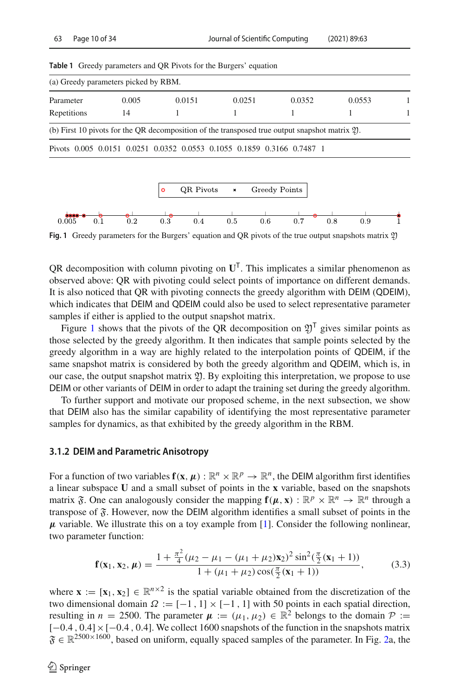<span id="page-9-0"></span>

|  |  | <b>Table 1</b> Greedy parameters and QR Pivots for the Burgers' equation |  |
|--|--|--------------------------------------------------------------------------|--|
|--|--|--------------------------------------------------------------------------|--|

| (a) Greedy parameters picked by RBM. |       |                                                                        |        |                                                                                                             |        |  |
|--------------------------------------|-------|------------------------------------------------------------------------|--------|-------------------------------------------------------------------------------------------------------------|--------|--|
| Parameter                            | 0.005 | 0.0151                                                                 | 0.0251 | 0.0352                                                                                                      | 0.0553 |  |
| Repetitions                          | 14    |                                                                        |        |                                                                                                             |        |  |
|                                      |       |                                                                        |        | (b) First 10 pivots for the OR decomposition of the transposed true output snapshot matrix $\mathfrak{Y}$ . |        |  |
|                                      |       | Pivots 0.005 0.0151 0.0251 0.0352 0.0553 0.1055 0.1859 0.3166 0.7487 1 |        |                                                                                                             |        |  |



<span id="page-9-1"></span>**Fig. 1** Greedy parameters for the Burgers' equation and OR pivots of the true output snapshots matrix 20

QR decomposition with column pivoting on  $U<sup>T</sup>$ . This implicates a similar phenomenon as observed above: QR with pivoting could select points of importance on different demands. It is also noticed that QR with pivoting connects the greedy algorithm with DEIM (QDEIM), which indicates that DEIM and QDEIM could also be used to select representative parameter samples if either is applied to the output snapshot matrix.

Figure [1](#page-9-1) shows that the pivots of the QR decomposition on  $2^T$  gives similar points as those selected by the greedy algorithm. It then indicates that sample points selected by the greedy algorithm in a way are highly related to the interpolation points of QDEIM, if the same snapshot matrix is considered by both the greedy algorithm and QDEIM, which is, in our case, the output snapshot matrix  $\mathfrak{Y}$ . By exploiting this interpretation, we propose to use DEIM or other variants of DEIM in order to adapt the training set during the greedy algorithm.

To further support and motivate our proposed scheme, in the next subsection, we show that DEIM also has the similar capability of identifying the most representative parameter samples for dynamics, as that exhibited by the greedy algorithm in the RBM.

### <span id="page-9-2"></span>**3.1.2 DEIM and Parametric Anisotropy**

For a function of two variables  $f(x, \mu): \mathbb{R}^n \times \mathbb{R}^p \to \mathbb{R}^n$ , the DEIM algorithm first identifies a linear subspace **U** and a small subset of points in the **x** variable, based on the snapshots matrix  $\mathfrak{F}$ . One can analogously consider the mapping  $\mathbf{f}(\mu, \mathbf{x}) : \mathbb{R}^p \times \mathbb{R}^n \to \mathbb{R}^n$  through a transpose of  $\mathfrak F$ . However, now the DEIM algorithm identifies a small subset of points in the  $\mu$  variable. We illustrate this on a toy example from [\[1\]](#page-30-6). Consider the following nonlinear, two parameter function:

$$
\mathbf{f}(\mathbf{x}_1, \mathbf{x}_2, \boldsymbol{\mu}) = \frac{1 + \frac{\pi^2}{4} (\mu_2 - \mu_1 - (\mu_1 + \mu_2) \mathbf{x}_2)^2 \sin^2(\frac{\pi}{2} (\mathbf{x}_1 + 1))}{1 + (\mu_1 + \mu_2) \cos(\frac{\pi}{2} (\mathbf{x}_1 + 1))},
$$
(3.3)

where  $\mathbf{x} := [\mathbf{x}_1, \mathbf{x}_2] \in \mathbb{R}^{n \times 2}$  is the spatial variable obtained from the discretization of the two dimensional domain  $\Omega := [-1, 1] \times [-1, 1]$  with 50 points in each spatial direction, resulting in  $n = 2500$ . The parameter  $\mu := (\mu_1, \mu_2) \in \mathbb{R}^2$  belongs to the domain  $\mathcal{P} :=$ [−0.4, 0.4] × [−0.4, 0.4]. We collect 1600 snapshots of the function in the snapshots matrix  $\mathfrak{F} \in \mathbb{R}^{2500 \times 1600}$ , based on uniform, equally spaced samples of the parameter. In Fig. [2a](#page-11-0), the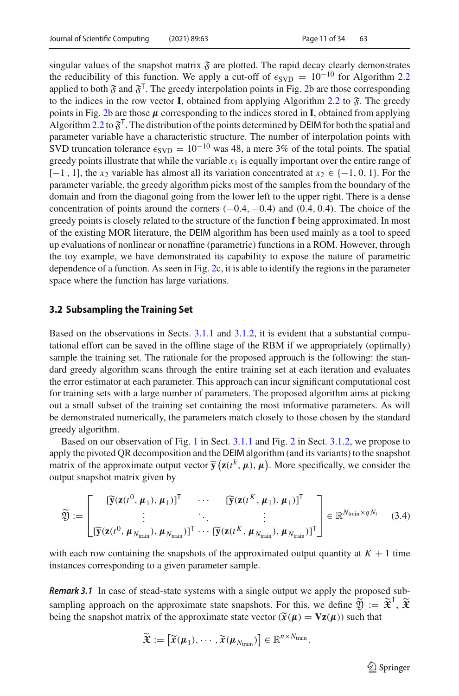singular values of the snapshot matrix  $\mathfrak F$  are plotted. The rapid decay clearly demonstrates the reducibility of this function. We apply a cut-off of  $\epsilon_{SVD} = 10^{-10}$  for Algorithm [2.2](#page-6-0) applied to both  $\mathfrak F$  and  $\mathfrak F^T$ . The greedy interpolation points in Fig. [2b](#page-11-0) are those corresponding to the indices in the row vector **I**, obtained from applying Algorithm [2.2](#page-6-0) to  $\tilde{\mathfrak{F}}$ . The greedy points in Fig. [2b](#page-11-0) are those  $\mu$  corresponding to the indices stored in **I**, obtained from applying Algorithm [2.2](#page-6-0) to  $\mathfrak{F}^{\mathsf{T}}$ . The distribution of the points determined by DEIM for both the spatial and parameter variable have a characteristic structure. The number of interpolation points with SVD truncation tolerance  $\epsilon_{\text{SVD}} = 10^{-10}$  was 48, a mere 3% of the total points. The spatial greedy points illustrate that while the variable  $x_1$  is equally important over the entire range of [-1, 1], the *x*<sub>2</sub> variable has almost all its variation concentrated at  $x_2 \in \{-1, 0, 1\}$ . For the parameter variable, the greedy algorithm picks most of the samples from the boundary of the domain and from the diagonal going from the lower left to the upper right. There is a dense concentration of points around the corners  $(-0.4, -0.4)$  and  $(0.4, 0.4)$ . The choice of the greedy points is closely related to the structure of the function **f** being approximated. In most of the existing MOR literature, the DEIM algorithm has been used mainly as a tool to speed up evaluations of nonlinear or nonaffine (parametric) functions in a ROM. However, through the toy example, we have demonstrated its capability to expose the nature of parametric dependence of a function. As seen in Fig. [2c](#page-11-0), it is able to identify the regions in the parameter space where the function has large variations.

### **3.2 Subsampling the Training Set**

Based on the observations in Sects. [3.1.1](#page-7-1) and [3.1.2,](#page-9-2) it is evident that a substantial computational effort can be saved in the offline stage of the RBM if we appropriately (optimally) sample the training set. The rationale for the proposed approach is the following: the standard greedy algorithm scans through the entire training set at each iteration and evaluates the error estimator at each parameter. This approach can incur significant computational cost for training sets with a large number of parameters. The proposed algorithm aims at picking out a small subset of the training set containing the most informative parameters. As will be demonstrated numerically, the parameters match closely to those chosen by the standard greedy algorithm.

Based on our observation of Fig. [1](#page-9-1) in Sect. [3.1.1](#page-7-1) and Fig. [2](#page-11-0) in Sect. [3.1.2,](#page-9-2) we propose to apply the pivoted QR decomposition and the DEIM algorithm (and its variants) to the snapshot matrix of the approximate output vector  $\tilde{\mathbf{y}}(\mathbf{z}(t^k, \mu), \mu)$ . More specifically, we consider the output spanshot matrix given by output snapshot matrix given by

<span id="page-10-0"></span>
$$
\widetilde{\mathfrak{Y}} := \begin{bmatrix} [\widetilde{\mathbf{y}}(\mathbf{z}(t^0, \mu_1), \mu_1)]^{\mathsf{T}} & \cdots & [\widetilde{\mathbf{y}}(\mathbf{z}(t^K, \mu_1), \mu_1)]^{\mathsf{T}} \\ \vdots & \ddots & \vdots \\ [\widetilde{\mathbf{y}}(\mathbf{z}(t^0, \mu_{N_{\text{train}}}), \mu_{N_{\text{train}}})]^{\mathsf{T}} & \cdots & [\widetilde{\mathbf{y}}(\mathbf{z}(t^K, \mu_{N_{\text{train}}}), \mu_{N_{\text{train}}})]^{\mathsf{T}} \end{bmatrix} \in \mathbb{R}^{N_{\text{train}} \times qN_t} \quad (3.4)
$$

with each row containing the snapshots of the approximated output quantity at  $K + 1$  time instances corresponding to a given parameter sample.

*Remark 3.1* In case of stead-state systems with a single output we apply the proposed subsampling approach on the approximate state snapshots. For this, we define  $\mathfrak{Y} := \mathfrak{X}'$ ,  $\mathfrak{X}$ being the snapshot matrix of the approximate state vector  $(\widetilde{\mathbf{x}}(\mu) = \mathbf{Vz}(\mu))$  such that

$$
\widetilde{\mathfrak{X}} := \left[ \widetilde{x}(\boldsymbol{\mu}_1), \cdots, \widetilde{x}(\boldsymbol{\mu}_{N_{\text{train}}}) \right] \in \mathbb{R}^{n \times N_{\text{train}}}.
$$

 $\circled{2}$  Springer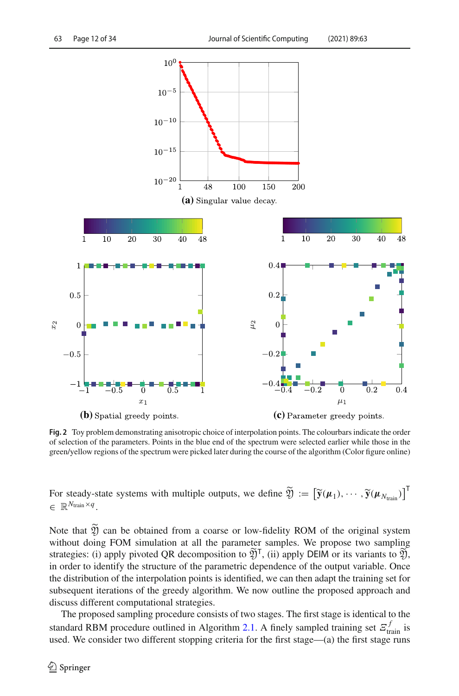

<span id="page-11-0"></span>**Fig. 2** Toy problem demonstrating anisotropic choice of interpolation points. The colourbars indicate the order of selection of the parameters. Points in the blue end of the spectrum were selected earlier while those in the green/yellow regions of the spectrum were picked later during the course of the algorithm (Color figure online)

For steady-state systems with multiple outputs, we define  $\mathfrak{Y} := [\widetilde{\mathbf{y}}(\boldsymbol{\mu}_1), \cdots, \widetilde{\mathbf{y}}(\boldsymbol{\mu}_{N_{\text{train}}})]^{\top}$ <sup>∈</sup> <sup>R</sup>*N*train×*<sup>q</sup>* .

Note that  $\tilde{y}$  can be obtained from a coarse or low-fidelity ROM of the original system without doing FOM simulation at all the parameter samples. We propose two sampling strategies: (i) apply pivoted QR decomposition to  $\mathfrak{Y}^{\mathsf{T}}$ , (ii) apply DEIM or its variants to  $\mathfrak{Y}$ , in order to identify the structure of the parametric dependence of the output variable. Once the distribution of the interpolation points is identified, we can then adapt the training set for subsequent iterations of the greedy algorithm. We now outline the proposed approach and discuss different computational strategies.

The proposed sampling procedure consists of two stages. The first stage is identical to the standard RBM procedure outlined in Algorithm [2.1.](#page-5-0) A finely sampled training set  $\mathcal{E}_{\text{train}}^f$  is used. We consider two different stopping criteria for the first stage—(a) the first stage runs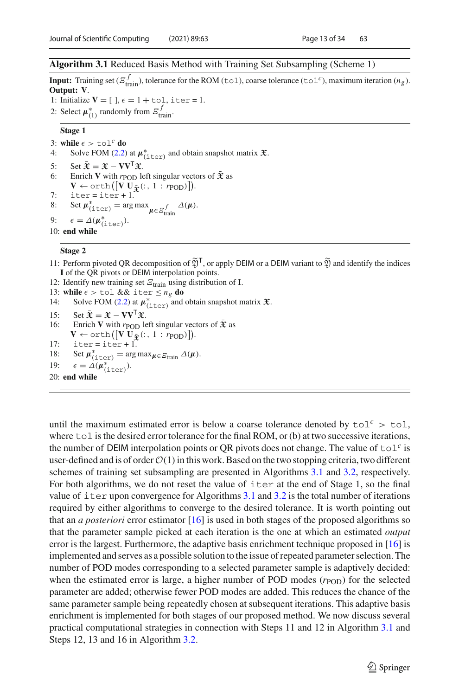### <span id="page-12-0"></span>**Algorithm 3.1** Reduced Basis Method with Training Set Subsampling (Scheme 1)

**Input:** Training set ( $\mathcal{E}_{\text{train}}^f$ ), tolerance for the ROM (tol), coarse tolerance (tol<sup>c</sup>), maximum iteration (*n<sub>g</sub>*). **Output: V**.

- 1: Initialize  $V = [$  ],  $\epsilon = 1 + \text{tol}$ , iter = 1.
- 2: Select  $\mu_{(1)}^*$  randomly from  $\mathcal{Z}_{\text{train}}^f$ .

### **Stage 1**

```
3: while \epsilon > \text{tol}^c do<br>4: Solve FOM (2.2)
(2.2) at \mu_{(\text{iter})}^* and obtain snapshot matrix \mathfrak{X}.
5: Set \bar{\mathbf{x}} = \mathbf{x} - \mathbf{V}\mathbf{V}^{\mathsf{T}}\mathbf{x}.<br>6: Enrich V with t pop let
            Enrich V with r_{\text{POD}} left singular vectors of \bar{\mathbf{\mathcal{X}}} as
             \mathbf{V} \leftarrow \text{orth}\left(\left[\mathbf{V} \mathbf{U}_{\mathbf{\bar{\mathfrak{X}}}}(:,1:r_{\text{POD}})\right]\right).7: iter=iter+1.<br>8: Set u^*. = arg
8: Set \mu_{(\text{iter})}^* = \arg \max_{\mu \in \mathcal{Z}_{\text{train}}^f} \Delta(\mu).
```
9:  $\epsilon = \Delta(\boldsymbol{\mu}_{(\text{iter})}^*).$ 

10: **end while**

#### **Stage 2**

- 11: Perform pivoted QR decomposition of  $\widetilde{\mathfrak{Y}}^{\mathsf{T}}$ , or apply DEIM or a DEIM variant to  $\widetilde{\mathfrak{Y}}$  and identify the indices **<sup>I</sup>** of the QR pivots or DEIM interpolation points.
- 12: Identify new training set  $E_{\text{train}}$  using distribution of **I**.

13: **while**  $\epsilon > \text{tol}$  && iter  $\leq n_g$  **do**<br>14: Solve FOM (2.2) at  $\mu^*$ , and

- 14: Solve FOM [\(2.2\)](#page-3-1) at  $\mu^*_{(\text{iter})}$  and obtain snapshot matrix  $\mathfrak{X}$ .
- 15: Set  $\bar{\mathbf{x}} = \mathbf{x} \mathbf{V}\mathbf{V}^{\mathsf{T}}\mathbf{x}$ .<br>16: Enrich **V** with reople

Enrich **V** with  $r_{\text{POD}}$  left singular vectors of  $\bar{\mathbf{\mathcal{X}}}$  as

 $\mathbf{V} \leftarrow \text{orth}\left(\left[\mathbf{V} \mathbf{U}_{\mathbf{\bar{\mathfrak{X}}}}(\cdot, 1 : r_{\text{POD}})\right]\right).$ 

17:  $\text{iter} = \text{iter} + \text{1}$ .

18: Set  $\mu_{(\text{iter})}^* = \arg \max_{\mu \in \mathcal{E}_{\text{train}}} \Delta(\mu).$ 

19:  $\epsilon = \Delta(\mu_{\text{(iter)}}^*).$ 

20: **end while**

until the maximum estimated error is below a coarse tolerance denoted by  $\text{tol}^c > \text{tol}$ , where tol is the desired error tolerance for the final ROM, or (b) at two successive iterations, the number of DEIM interpolation points or QR pivots does not change. The value of  $\text{tol}^c$  is user-defined and is of order  $O(1)$  in this work. Based on the two stopping criteria, two different schemes of training set subsampling are presented in Algorithms [3.1](#page-12-0) and [3.2,](#page-13-0) respectively. For both algorithms, we do not reset the value of iter at the end of Stage 1, so the final value of iter upon convergence for Algorithms [3.1](#page-12-0) and [3.2](#page-13-0) is the total number of iterations required by either algorithms to converge to the desired tolerance. It is worth pointing out that an *a posteriori* error estimator [\[16\]](#page-31-8) is used in both stages of the proposed algorithms so that the parameter sample picked at each iteration is the one at which an estimated *output* error is the largest. Furthermore, the adaptive basis enrichment technique proposed in [\[16\]](#page-31-8) is implemented and serves as a possible solution to the issue of repeated parameter selection. The number of POD modes corresponding to a selected parameter sample is adaptively decided: when the estimated error is large, a higher number of POD modes ( $r_{POD}$ ) for the selected parameter are added; otherwise fewer POD modes are added. This reduces the chance of the same parameter sample being repeatedly chosen at subsequent iterations. This adaptive basis enrichment is implemented for both stages of our proposed method. We now discuss several practical computational strategies in connection with Steps 11 and 12 in Algorithm [3.1](#page-12-0) and Steps 12, 13 and 16 in Algorithm [3.2.](#page-13-0)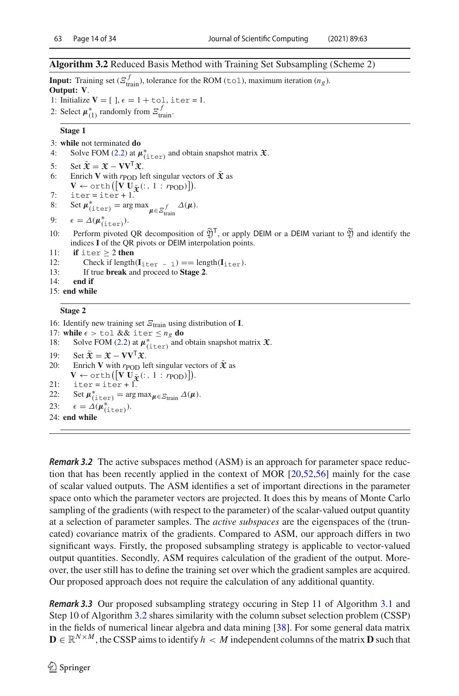### <span id="page-13-0"></span>**Algorithm 3.2** Reduced Basis Method with Training Set Subsampling (Scheme 2)

**Input:** Training set  $(\mathcal{E}_{\text{train}}^f)$ , tolerance for the ROM (tol), maximum iteration  $(n_g)$ . **Output: V**.

- 1: Initialize  $V = [$  ],  $\epsilon = 1 + \text{tol}$ , iter = 1.
- 2: Select  $\mu_{(1)}^*$  randomly from  $\mathcal{Z}_{\text{train}}^f$ .

#### **Stage 1**

- 3: **while** not terminated **do**<br>4: Solve FOM  $(2.2)$  at  $\mu$
- 4: Solve FOM [\(2.2\)](#page-3-1) at  $\mu_{(\text{iter})}^*$  and obtain snapshot matrix  $\mathfrak{X}$ .
- 5: Set  $\bar{\mathbf{x}} = \mathbf{x} \mathbf{V}\mathbf{V}^{\mathsf{T}}\mathbf{x}$ .<br>6: Enrich **V** with *t* pop let
- Enrich **V** with  $r_{\text{POD}}$  left singular vectors of  $\bar{\mathbf{\mathfrak{X}}}$  as
- $\mathbf{V} \leftarrow \text{orth}\left(\left[\mathbf{V} \mathbf{U}_{\mathbf{\bar{\mathfrak{X}}}}(:,1:r_{\text{POD}})\right]\right).$
- 7: iter=iter+1.<br>8: Set  $u^*$ . = arg
- 8: Set  $\mu_{(\text{iter})}^* = \arg \max_{\mu \in \mathcal{Z}_{\text{train}}^f} \Delta(\mu).$
- 9:  $\epsilon = \Delta(\boldsymbol{\mu}_{(\text{iter})}^*).$
- 10: Perform pivoted QR decomposition of  $\tilde{Y}^{\mathsf{T}}$ , or apply DEIM or a DEIM variant to  $\tilde{Y}$  and identify the indices **<sup>I</sup>** of the QR pivots or DEIM interpolation points.
- 11: **if** iter  $\geq 2$  **then**<br>12: **Check if length**
- 12: Check if length( $\mathbf{I}_{\text{iter}} = 1$ ) == length( $\mathbf{I}_{\text{iter}}$ ).<br>13: If true **break** and proceed to **Stage 2**
- 13: If true **break** and proceed to **Stage 2**.

end if

15: **end while**

### **Stage 2**

16: Identify new training set  $E_{\text{train}}$  using distribution of **I**.

- 17: **while**  $\epsilon > \text{tol } \&\& \text{ iter } \leq n_g \textbf{ do}$ <br>18: Solve FOM (2.2) at  $\mu^*$ . and
- 18: Solve FOM [\(2.2\)](#page-3-1) at  $\mu^*_{(\text{iter})}$  and obtain snapshot matrix  $\mathfrak{X}$ .
- 19: Set  $\bar{\mathbf{\mathfrak{X}}} = \mathbf{\mathfrak{X}} \mathbf{V}\mathbf{V}^{\mathsf{T}}\mathbf{\mathfrak{X}}$ .<br>20: Enrich **V** with rpop let
- Enrich **V** with  $r_{\text{POD}}$  left singular vectors of  $\bar{\mathbf{\mathcal{X}}}$  as
- $\mathbf{V} \leftarrow \text{orth}\left(\left[\mathbf{V} \mathbf{U}_{\mathbf{\bar{\mathfrak{X}}}}(\cdot, 1 : r_{\text{POD}})\right]\right).$
- 21:  $\text{iter} = \text{iter} + 1$ .
- 22: Set  $\mu_{(\text{iter})}^* = \arg \max_{\mu \in \mathcal{E}_{\text{train}}} \Delta(\mu).$

```
23: \epsilon = \Delta(\mu_{(\text{iter})}^*).
```
24: **end while**

*Remark 3.2* The active subspaces method (ASM) is an approach for parameter space reduction that has been recently applied in the context of MOR [\[20](#page-31-6)[,52](#page-33-5)[,56](#page-33-2)] mainly for the case of scalar valued outputs. The ASM identifies a set of important directions in the parameter space onto which the parameter vectors are projected. It does this by means of Monte Carlo sampling of the gradients (with respect to the parameter) of the scalar-valued output quantity at a selection of parameter samples. The *active subspaces* are the eigenspaces of the (truncated) covariance matrix of the gradients. Compared to ASM, our approach differs in two significant ways. Firstly, the proposed subsampling strategy is applicable to vector-valued output quantities. Secondly, ASM requires calculation of the gradient of the output. Moreover, the user still has to define the training set over which the gradient samples are acquired. Our proposed approach does not require the calculation of any additional quantity.

*Remark 3.3* Our proposed subsampling strategy occuring in Step 11 of Algorithm [3.1](#page-12-0) and Step 10 of Algorithm [3.2](#page-13-0) shares similarity with the column subset selection problem (CSSP) in the fields of numerical linear algebra and data mining [\[38](#page-32-19)]. For some general data matrix **D** ∈  $\mathbb{R}^{N \times M}$ , the CSSP aims to identify *h* < *M* independent columns of the matrix **D** such that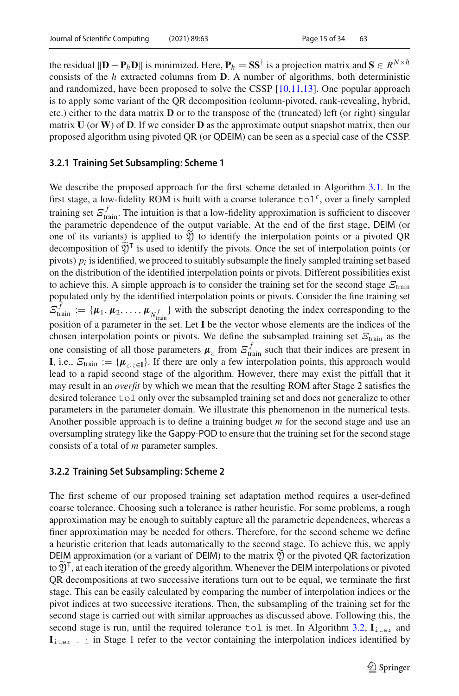the residual  $\|\mathbf{D} - \mathbf{P}_h \mathbf{D}\|$  is minimized. Here,  $\mathbf{P}_h = \mathbf{S} \mathbf{S}^{\dagger}$  is a projection matrix and  $\mathbf{S} \in R^{N \times h}$ consists of the *h* extracted columns from **D**. A number of algorithms, both deterministic and randomized, have been proposed to solve the CSSP [\[10](#page-31-16)[,11](#page-31-17)[,13\]](#page-31-18). One popular approach is to apply some variant of the QR decomposition (column-pivoted, rank-revealing, hybrid, etc.) either to the data matrix **D** or to the transpose of the (truncated) left (or right) singular matrix **U** (or **W**) of **D**. If we consider **D** as the approximate output snapshot matrix, then our proposed algorithm using pivoted QR (or QDEIM) can be seen as a special case of the CSSP.

# **3.2.1 Training Set Subsampling: Scheme 1**

We describe the proposed approach for the first scheme detailed in Algorithm [3.1.](#page-12-0) In the first stage, a low-fidelity ROM is built with a coarse tolerance tol*c*, over a finely sampled training set  $\mathcal{Z}_{\text{train}}^f$ . The intuition is that a low-fidelity approximation is sufficient to discover the parametric dependence of the output variable. At the end of the first stage, DEIM (or one of its variants) is applied to  $\widetilde{\mathfrak{Y}}$  to identify the interpolation points or a pivoted QR decomposition of  $\widetilde{\mathfrak{Y}}^{\mathsf{T}}$  is used to identify the pivots. Once the set of interpolation points (or pivots)  $p_i$  is identified, we proceed to suitably subsample the finely sampled training set based on the distribution of the identified interpolation points or pivots. Different possibilities exist to achieve this. A simple approach is to consider the training set for the second stage  $E_{\text{train}}$ populated only by the identified interpolation points or pivots. Consider the fine training set  $\mathcal{Z}_{\text{train}}^f := \{\mu_1, \mu_2, \ldots, \mu_{N_{\text{train}}^f}\}\$  with the subscript denoting the index corresponding to the position of a parameter in the set. Let **I** be the vector whose elements are the indices of the chosen interpolation points or pivots. We define the subsampled training set  $E_{\text{train}}$  as the one consisting of all those parameters  $\mu_z$  from  $\mathcal{E}_{\text{train}}^f$  such that their indices are present in **I**, i.e.,  $E_{\text{train}} := \{ \mu_{z: z \in \mathbf{I}} \}$ . If there are only a few interpolation points, this approach would lead to a rapid second stage of the algorithm. However, there may exist the pitfall that it may result in an *overfit* by which we mean that the resulting ROM after Stage 2 satisfies the desired tolerance tol only over the subsampled training set and does not generalize to other parameters in the parameter domain. We illustrate this phenomenon in the numerical tests. Another possible approach is to define a training budget *m* for the second stage and use an oversampling strategy like the Gappy-POD to ensure that the training set for the second stage consists of a total of *m* parameter samples.

### **3.2.2 Training Set Subsampling: Scheme 2**

The first scheme of our proposed training set adaptation method requires a user-defined coarse tolerance. Choosing such a tolerance is rather heuristic. For some problems, a rough approximation may be enough to suitably capture all the parametric dependences, whereas a finer approximation may be needed for others. Therefore, for the second scheme we define a heuristic criterion that leads automatically to the second stage. To achieve this, we apply DEIM approximation (or a variant of DEIM) to the matrix  $\mathfrak Y$  or the pivoted QR factorization to  $\mathfrak{Y}^{\mathsf{T}}$ , at each iteration of the greedy algorithm. Whenever the DEIM interpolations or pivoted QR decompositions at two successive iterations turn out to be equal, we terminate the first stage. This can be easily calculated by comparing the number of interpolation indices or the pivot indices at two successive iterations. Then, the subsampling of the training set for the second stage is carried out with similar approaches as discussed above. Following this, the second stage is run, until the required tolerance tol is met. In Algorithm [3.2,](#page-13-0)  $I_{\text{iter}}$  and  $I_{\text{iter}}$  - 1 in Stage 1 refer to the vector containing the interpolation indices identified by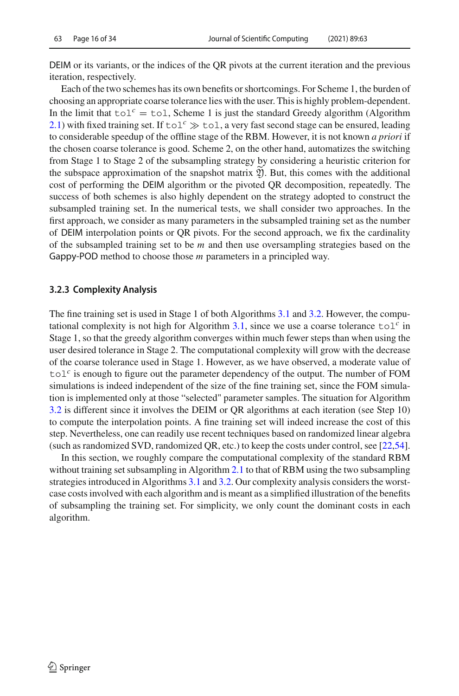DEIM or its variants, or the indices of the QR pivots at the current iteration and the previous iteration, respectively.

Each of the two schemes has its own benefits or shortcomings. For Scheme 1, the burden of choosing an appropriate coarse tolerance lies with the user. This is highly problem-dependent. In the limit that  $\text{tol}^c = \text{tol}$ , Scheme 1 is just the standard Greedy algorithm (Algorithm [2.1\)](#page-5-0) with fixed training set. If  $\text{tol}^c \gg \text{tol}$ , a very fast second stage can be ensured, leading to considerable speedup of the offline stage of the RBM. However, it is not known *a priori* if the chosen coarse tolerance is good. Scheme 2, on the other hand, automatizes the switching from Stage 1 to Stage 2 of the subsampling strategy by considering a heuristic criterion for the subspace approximation of the snapshot matrix  $\tilde{y}$ . But, this comes with the additional cost of performing the DEIM algorithm or the pivoted QR decomposition, repeatedly. The success of both schemes is also highly dependent on the strategy adopted to construct the subsampled training set. In the numerical tests, we shall consider two approaches. In the first approach, we consider as many parameters in the subsampled training set as the number of DEIM interpolation points or QR pivots. For the second approach, we fix the cardinality of the subsampled training set to be *m* and then use oversampling strategies based on the Gappy-POD method to choose those *<sup>m</sup>* parameters in a principled way.

### <span id="page-15-0"></span>**3.2.3 Complexity Analysis**

The fine training set is used in Stage 1 of both Algorithms [3.1](#page-12-0) and [3.2.](#page-13-0) However, the computational complexity is not high for Algorithm  $3.1$ , since we use a coarse tolerance  $\text{tol}^c$  in Stage 1, so that the greedy algorithm converges within much fewer steps than when using the user desired tolerance in Stage 2. The computational complexity will grow with the decrease of the coarse tolerance used in Stage 1. However, as we have observed, a moderate value of  $\text{tol}^c$  is enough to figure out the parameter dependency of the output. The number of FOM simulations is indeed independent of the size of the fine training set, since the FOM simulation is implemented only at those "selected" parameter samples. The situation for Algorithm [3.2](#page-13-0) is different since it involves the DEIM or QR algorithms at each iteration (see Step 10) to compute the interpolation points. A fine training set will indeed increase the cost of this step. Nevertheless, one can readily use recent techniques based on randomized linear algebra (such as randomized SVD, randomized QR, etc.) to keep the costs under control, see [\[22](#page-31-19)[,54\]](#page-33-6).

In this section, we roughly compare the computational complexity of the standard RBM without training set subsampling in Algorithm [2.1](#page-5-0) to that of RBM using the two subsampling strategies introduced in Algorithms [3.1](#page-12-0) and [3.2.](#page-13-0) Our complexity analysis considers the worstcase costs involved with each algorithm and is meant as a simplified illustration of the benefits of subsampling the training set. For simplicity, we only count the dominant costs in each algorithm.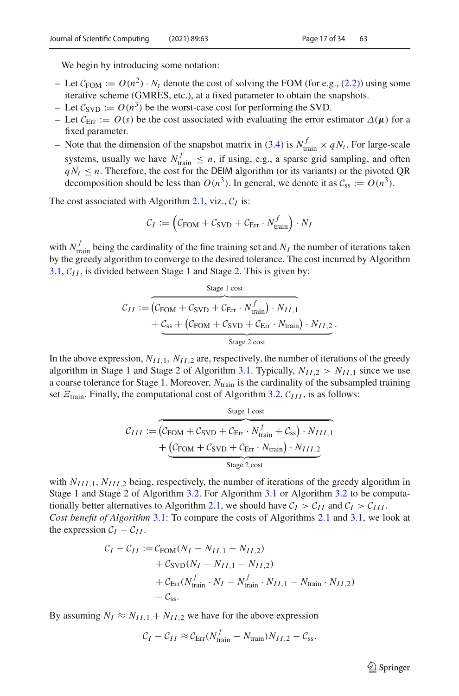We begin by introducing some notation:

- Let  $C_{\text{FOM}} := O(n^2) \cdot N_t$  denote the cost of solving the FOM (for e.g., [\(2.2\)](#page-3-1)) using some iterative scheme (GMRES, etc.), at a fixed parameter to obtain the snapshots.
- Let  $\mathcal{C}_{SVD} := O(n^3)$  be the worst-case cost for performing the SVD.
- Let  $C_{\text{Err}} := O(s)$  be the cost associated with evaluating the error estimator  $\Delta(\mu)$  for a fixed parameter.
- Note that the dimension of the snapshot matrix in [\(3.4\)](#page-10-0) is  $N_{\text{train}}^f \times qN_t$ . For large-scale systems, usually we have  $N_{\text{train}}^f \le n$ , if using, e.g., a sparse grid sampling, and often  $qN_t \le n$ . Therefore, the cost for the DEIM algorithm (or its variants) or the pivoted QR decomposition should be less than  $O(n^3)$ . In general, we denote it as  $C_{ss} := O(n^3)$ .

The cost associated with Algorithm [2.1,](#page-5-0) viz.,  $C_I$  is:

$$
C_I := \left( C_{\text{FOM}} + C_{\text{SVD}} + C_{\text{Err}} \cdot N_{\text{train}}^f \right) \cdot N_I
$$

with  $N_{\text{train}}^f$  being the cardinality of the fine training set and  $N_I$  the number of iterations taken by the greedy algorithm to converge to the desired tolerance. The cost incurred by Algorithm [3.1,](#page-12-0)  $C_{II}$ , is divided between Stage 1 and Stage 2. This is given by:

$$
C_{II} := \overbrace{(C_{\text{FOM}} + C_{\text{SVD}} + C_{\text{Err}} \cdot N_{\text{train}}^f) \cdot N_{II,1}}^{\text{Stage 1 cost}} + C_{\text{SVD}} + C_{\text{Err}} \cdot N_{\text{train}}^f) \cdot N_{II,2}}^{\text{Stage 2 cost}}.
$$

In the above expression,  $N_{II,1}$ ,  $N_{II,2}$  are, respectively, the number of iterations of the greedy algorithm in Stage 1 and Stage 2 of Algorithm [3.1.](#page-12-0) Typically,  $N_{II,2} > N_{II,1}$  since we use a coarse tolerance for Stage 1. Moreover, *N*train is the cardinality of the subsampled training set  $E_{\text{train}}$ . Finally, the computational cost of Algorithm [3.2,](#page-13-0)  $C_{III}$ , is as follows:

$$
C_{III} := \underbrace{C_{\text{FOM}} + C_{\text{SVD}} + C_{\text{Err}} \cdot N_{\text{train}}^f + C_{\text{ss}}) \cdot N_{III,1}}_{\text{Stage 2 cost}} + \underbrace{(C_{\text{FOM}} + C_{\text{SVD}} + C_{\text{Err}} \cdot N_{\text{train}}) \cdot N_{III,2}}_{\text{Stage 2 cost}}
$$

with  $N_{III,1}$ ,  $N_{III,2}$  being, respectively, the number of iterations of the greedy algorithm in Stage 1 and Stage 2 of Algorithm [3.2.](#page-13-0) For Algorithm [3.1](#page-12-0) or Algorithm [3.2](#page-13-0) to be computa-tionally better alternatives to Algorithm [2.1,](#page-5-0) we should have  $C_I > C_{II}$  and  $C_I > C_{III}$ . *Cost benefit of Algorithm* [3.1:](#page-12-0) To compare the costs of Algorithms [2.1](#page-5-0) and [3.1,](#page-12-0) we look at the expression  $C_I - C_{II}$ .

$$
C_I - C_{II} := C_{\text{FOM}}(N_I - N_{II,1} - N_{II,2}) + C_{\text{SVD}}(N_I - N_{II,1} - N_{II,2}) + C_{\text{Err}}(N_{\text{train}}^f \cdot N_I - N_{\text{train}}^f \cdot N_{II,1} - N_{\text{train}} \cdot N_{II,2}) - C_{\text{ss}}.
$$

By assuming  $N_I \approx N_{II,1} + N_{II,2}$  we have for the above expression

$$
C_I - C_{II} \approx C_{\text{Err}} (N_{\text{train}}^f - N_{\text{train}}) N_{II,2} - C_{\text{ss}}.
$$

 $\circled{2}$  Springer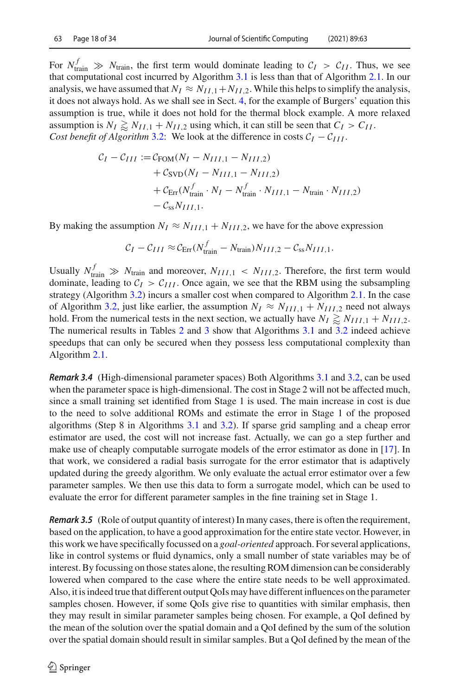For  $N_{\text{train}}^f \gg N_{\text{train}}$ , the first term would dominate leading to  $C_I > C_{II}$ . Thus, we see that computational cost incurred by Algorithm [3.1](#page-12-0) is less than that of Algorithm [2.1.](#page-5-0) In our analysis, we have assumed that  $N_I \approx N_{II,1} + N_{II,2}$ . While this helps to simplify the analysis, it does not always hold. As we shall see in Sect. [4,](#page-18-0) for the example of Burgers' equation this assumption is true, while it does not hold for the thermal block example. A more relaxed assumption is  $N_I \gtrsim N_{II,1} + N_{II,2}$  using which, it can still be seen that  $C_I > C_{II}$ . *Cost benefit of Algorithm* [3.2:](#page-13-0) We look at the difference in costs  $C_I - C_{III}$ .

$$
C_I - C_{III} := C_{\text{FOM}}(N_I - N_{III,1} - N_{III,2}) + C_{\text{SVD}}(N_I - N_{III,1} - N_{III,2}) + C_{\text{Err}}(N_{\text{train}}^f \cdot N_I - N_{\text{train}}^f \cdot N_{III,1} - N_{\text{train}} \cdot N_{III,2}) - C_{\text{ss}} N_{III,1}.
$$

By making the assumption  $N_I \approx N_{III,1} + N_{III,2}$ , we have for the above expression

$$
C_I - C_{III} \approx C_{\text{Err}} (N_{\text{train}}^f - N_{\text{train}}) N_{III,2} - C_{\text{ss}} N_{III,1}.
$$

Usually  $N_{\text{train}}^f \gg N_{\text{train}}$  and moreover,  $N_{III,1} < N_{III,2}$ . Therefore, the first term would dominate, leading to  $C_I > C_{III}$ . Once again, we see that the RBM using the subsampling strategy (Algorithm [3.2\)](#page-13-0) incurs a smaller cost when compared to Algorithm [2.1.](#page-5-0) In the case of Algorithm [3.2,](#page-13-0) just like earlier, the assumption  $N_I \approx N_{III,1} + N_{III,2}$  need not always hold. From the numerical tests in the next section, we actually have  $N_I \gtrapprox N_{III,1} + N_{III,2}$ . The numerical results in Tables [2](#page-20-0) and [3](#page-21-0) show that Algorithms [3.1](#page-12-0) and [3.2](#page-13-0) indeed achieve speedups that can only be secured when they possess less computational complexity than Algorithm [2.1.](#page-5-0)

*Remark 3.4* (High-dimensional parameter spaces) Both Algorithms [3.1](#page-12-0) and [3.2,](#page-13-0) can be used when the parameter space is high-dimensional. The cost in Stage 2 will not be affected much, since a small training set identified from Stage 1 is used. The main increase in cost is due to the need to solve additional ROMs and estimate the error in Stage 1 of the proposed algorithms (Step 8 in Algorithms [3.1](#page-12-0) and [3.2\)](#page-13-0). If sparse grid sampling and a cheap error estimator are used, the cost will not increase fast. Actually, we can go a step further and make use of cheaply computable surrogate models of the error estimator as done in [\[17](#page-31-4)]. In that work, we considered a radial basis surrogate for the error estimator that is adaptively updated during the greedy algorithm. We only evaluate the actual error estimator over a few parameter samples. We then use this data to form a surrogate model, which can be used to evaluate the error for different parameter samples in the fine training set in Stage 1.

*Remark 3.5* (Role of output quantity of interest) In many cases, there is often the requirement, based on the application, to have a good approximation for the entire state vector. However, in this work we have specifically focussed on a *goal-oriented* approach. For several applications, like in control systems or fluid dynamics, only a small number of state variables may be of interest. By focussing on those states alone, the resulting ROM dimension can be considerably lowered when compared to the case where the entire state needs to be well approximated. Also, it is indeed true that different output QoIs may have different influences on the parameter samples chosen. However, if some QoIs give rise to quantities with similar emphasis, then they may result in similar parameter samples being chosen. For example, a QoI defined by the mean of the solution over the spatial domain and a QoI defined by the sum of the solution over the spatial domain should result in similar samples. But a QoI defined by the mean of the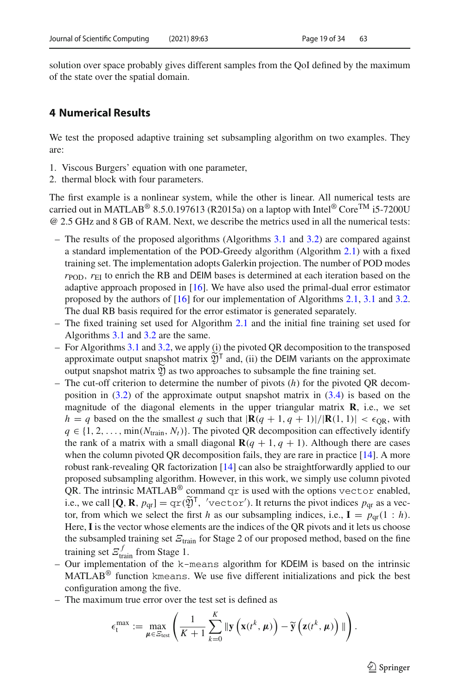solution over space probably gives different samples from the QoI defined by the maximum of the state over the spatial domain.

# <span id="page-18-0"></span>**4 Numerical Results**

We test the proposed adaptive training set subsampling algorithm on two examples. They are:

- 1. Viscous Burgers' equation with one parameter,
- 2. thermal block with four parameters.

The first example is a nonlinear system, while the other is linear. All numerical tests are carried out in MATLAB<sup>®</sup> 8.5.0.197613 (R2015a) on a laptop with Intel<sup>®</sup> Core<sup>TM</sup> i5-7200U @ 2.5 GHz and 8 GB of RAM. Next, we describe the metrics used in all the numerical tests:

- The results of the proposed algorithms (Algorithms [3.1](#page-12-0) and [3.2\)](#page-13-0) are compared against a standard implementation of the POD-Greedy algorithm (Algorithm [2.1\)](#page-5-0) with a fixed training set. The implementation adopts Galerkin projection. The number of POD modes  $r_{\rm POD}$ ,  $r_{\rm EI}$  to enrich the RB and DEIM bases is determined at each iteration based on the adaptive approach proposed in  $[16]$  $[16]$ . We have also used the primal-dual error estimator proposed by the authors of [\[16\]](#page-31-8) for our implementation of Algorithms [2.1,](#page-5-0) [3.1](#page-12-0) and [3.2.](#page-13-0) The dual RB basis required for the error estimator is generated separately.
- The fixed training set used for Algorithm [2.1](#page-5-0) and the initial fine training set used for Algorithms [3.1](#page-12-0) and [3.2](#page-13-0) are the same.
- For Algorithms [3.1](#page-12-0) and [3.2,](#page-13-0) we apply (i) the pivoted QR decomposition to the transposed approximate output snapshot matrix  $\widetilde{\mathfrak{Y}}^{\mathsf{T}}$  and, (ii) the DEIM variants on the approximate output snapshot matrix  $\mathfrak Y$  as two approaches to subsample the fine training set.
- The cut-off criterion to determine the number of pivots (*h*) for the pivoted QR decomposition in [\(3.2\)](#page-8-1) of the approximate output snapshot matrix in [\(3.4\)](#page-10-0) is based on the magnitude of the diagonal elements in the upper triangular matrix **R**, i.e., we set  $h = q$  based on the the smallest *q* such that  $|\mathbf{R}(q + 1, q + 1)|/|\mathbf{R}(1, 1)| < \epsilon_{OR}$ , with  $q \in \{1, 2, \ldots, \min(N_{\text{train}}, N_t)\}.$  The pivoted QR decomposition can effectively identify the rank of a matrix with a small diagonal  $\mathbf{R}(q + 1, q + 1)$ . Although there are cases when the column pivoted QR decomposition fails, they are rare in practice [\[14\]](#page-31-20). A more robust rank-revealing QR factorization [\[14](#page-31-20)] can also be straightforwardly applied to our proposed subsampling algorithm. However, in this work, we simply use column pivoted QR. The intrinsic MATLAB<sup>®</sup> command  $qr$  is used with the options vector enabled, i.e., we call  $[\mathbf{Q}, \mathbf{R}, p_{\text{qr}}] = \text{qr}(\mathfrak{Y})^{\dagger}$ , 'vector'). It returns the pivot indices  $p_{\text{qr}}$  as a vector, from which we select the first *h* as our subsampling indices, i.e.,  $I = p<sub>qr</sub>(1 : h)$ . Here, **I** is the vector whose elements are the indices of the QR pivots and it lets us choose the subsampled training set  $\mathcal{E}_{\text{train}}$  for Stage 2 of our proposed method, based on the fine training set  $\mathcal{Z}_{\text{train}}^f$  from Stage 1.
- Our implementation of the k-means algorithm for KDEIM is based on the intrinsic MATLAB® function kmeans. We use five different initializations and pick the best configuration among the five.
- The maximum true error over the test set is defined as

$$
\epsilon_t^{\max} := \max_{\mu \in \mathcal{E}_{\text{test}}} \left( \frac{1}{K+1} \sum_{k=0}^K \|\mathbf{y}\left(\mathbf{x}(t^k, \mu)\right) - \widetilde{\mathbf{y}}\left(\mathbf{z}(t^k, \mu)\right)\| \right).
$$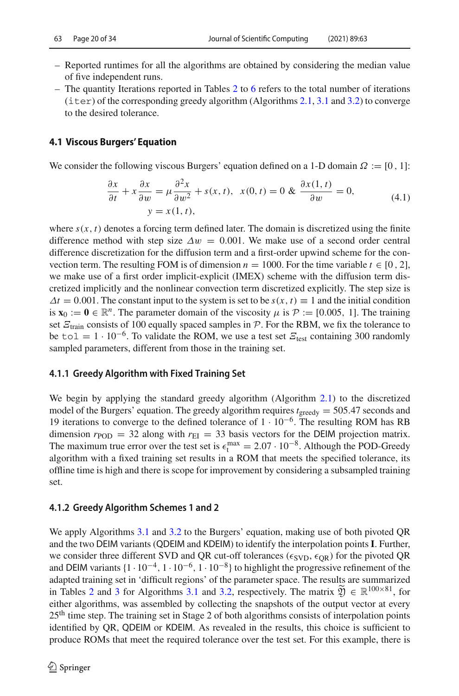- Reported runtimes for all the algorithms are obtained by considering the median value of five independent runs.
- The quantity Iterations reported in Tables [2](#page-20-0) to [6](#page-27-0) refers to the total number of iterations (iter) of the corresponding greedy algorithm (Algorithms [2.1,](#page-5-0) [3.1](#page-12-0) and [3.2\)](#page-13-0) to converge to the desired tolerance.

# **4.1 Viscous Burgers' Equation**

We consider the following viscous Burgers' equation defined on a 1-D domain  $\Omega := [0, 1]$ :

$$
\frac{\partial x}{\partial t} + x \frac{\partial x}{\partial w} = \mu \frac{\partial^2 x}{\partial w^2} + s(x, t), \ \ x(0, t) = 0 \& \ \frac{\partial x(1, t)}{\partial w} = 0, \tag{4.1}
$$
\n
$$
y = x(1, t),
$$

where  $s(x, t)$  denotes a forcing term defined later. The domain is discretized using the finite difference method with step size  $\Delta w = 0.001$ . We make use of a second order central difference discretization for the diffusion term and a first-order upwind scheme for the convection term. The resulting FOM is of dimension  $n = 1000$ . For the time variable  $t \in [0, 2]$ , we make use of a first order implicit-explicit (IMEX) scheme with the diffusion term discretized implicitly and the nonlinear convection term discretized explicitly. The step size is  $\Delta t = 0.001$ . The constant input to the system is set to be  $s(x, t) \equiv 1$  and the initial condition is  $\mathbf{x}_0 := \mathbf{0} \in \mathbb{R}^n$ . The parameter domain of the viscosity  $\mu$  is  $\mathcal{P} := [0.005, 1]$ . The training set  $E_{\text{train}}$  consists of 100 equally spaced samples in  $P$ . For the RBM, we fix the tolerance to be tol = 1 · 10<sup>-6</sup>. To validate the ROM, we use a test set  $E_{\text{test}}$  containing 300 randomly sampled parameters, different from those in the training set.

# **4.1.1 Greedy Algorithm with Fixed Training Set**

We begin by applying the standard greedy algorithm (Algorithm [2.1\)](#page-5-0) to the discretized model of the Burgers' equation. The greedy algorithm requires  $t_{\text{greedy}} = 505.47$  seconds and 19 iterations to converge to the defined tolerance of  $1 \cdot 10^{-6}$ . The resulting ROM has RB dimension  $r_{\text{POD}} = 32$  along with  $r_{\text{EI}} = 33$  basis vectors for the DEIM projection matrix. The maximum true error over the test set is  $\epsilon_t^{\text{max}} = 2.07 \cdot 10^{-8}$ . Although the POD-Greedy algorithm with a fixed training set results in a ROM that meets the specified tolerance, its offline time is high and there is scope for improvement by considering a subsampled training set.

# **4.1.2 Greedy Algorithm Schemes 1 and 2**

We apply Algorithms [3.1](#page-12-0) and [3.2](#page-13-0) to the Burgers' equation, making use of both pivoted QR and the two DEIM variants (QDEIM and KDEIM) to identify the interpolation points **<sup>I</sup>**. Further, we consider three different SVD and QR cut-off tolerances ( $\epsilon_{SVD}$ ,  $\epsilon_{OR}$ ) for the pivoted QR and DEIM variants  $\{1 \cdot 10^{-4}, 1 \cdot 10^{-6}, 1 \cdot 10^{-8}\}$  to highlight the progressive refinement of the adapted training set in 'difficult regions' of the parameter space. The results are summarized in Tables [2](#page-20-0) and [3](#page-21-0) for Algorithms [3.1](#page-12-0) and [3.2,](#page-13-0) respectively. The matrix  $\mathfrak{Y} \in \mathbb{R}^{100 \times 81}$ , for either algorithms, was assembled by collecting the snapshots of the output vector at every 25th time step. The training set in Stage 2 of both algorithms consists of interpolation points identified by QR, QDEIM or KDEIM. As revealed in the results, this choice is sufficient to produce ROMs that meet the required tolerance over the test set. For this example, there is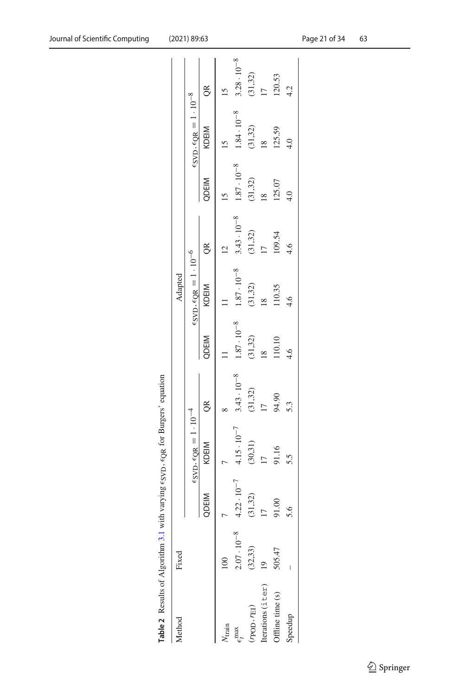<span id="page-20-0"></span>

| Table 2 Results of Algorithm 3.1 with varying $\epsilon_{\rm SVD}$ , $\epsilon_{\rm QR}$ for Burgers' equation |                      |                      |                                                           |                      |                      |                                                           |                      |                      |                                                           |                      |
|----------------------------------------------------------------------------------------------------------------|----------------------|----------------------|-----------------------------------------------------------|----------------------|----------------------|-----------------------------------------------------------|----------------------|----------------------|-----------------------------------------------------------|----------------------|
| Method                                                                                                         | Fixed                |                      |                                                           |                      |                      | Adapted                                                   |                      |                      |                                                           |                      |
|                                                                                                                |                      |                      | $\epsilon_{\rm SVD}, \epsilon_{\rm QR} = 1 \cdot 10^{-4}$ |                      |                      | $\epsilon_{\rm SVD}, \epsilon_{\rm QR} = 1 \cdot 10^{-6}$ |                      |                      | $\epsilon_{\rm SVD}, \epsilon_{\rm QR} = 1 \cdot 10^{-8}$ |                      |
|                                                                                                                |                      | QDEIM                | KDEIM                                                     | g                    | QDEIM                | <b>KDEIM</b>                                              | õŘ                   | QDEIM                | KDEIM                                                     | õŘ                   |
| $N_{\text{train}}$                                                                                             | 100                  |                      |                                                           |                      |                      |                                                           |                      |                      |                                                           |                      |
| $\epsilon_t^{\text{max}}$                                                                                      | $2.07 \cdot 10^{-8}$ | $4.22 \cdot 10^{-7}$ | $4.15 \cdot 10^{-7}$                                      | $3.43 \cdot 10^{-8}$ | $1.87 \cdot 10^{-8}$ | $1.87 \cdot 10^{-8}$                                      | $3.43 \cdot 10^{-8}$ | $1.87 \cdot 10^{-8}$ | $1.84 \cdot 10^{-8}$                                      | $3.28 \cdot 10^{-8}$ |
| $r$ POD, $r_{\rm EI}$ )                                                                                        | (32, 33)             | (31, 32)             | (30,31)                                                   | (31,32)              | (31, 32)             | (31, 32)                                                  | (31,32)              | (31,32)              | (31, 32)                                                  | (31,32)              |
| Iterations (iter)                                                                                              |                      |                      |                                                           |                      |                      | $\frac{8}{2}$                                             |                      |                      | $\frac{8}{2}$                                             |                      |
| Offline time (s)                                                                                               | 505.47               |                      | 91.16                                                     | 94.90                | 110.10               | 110.35                                                    | 109.54               | 125.07               | 125.59                                                    | 120.53               |
| Speedup                                                                                                        |                      | 5.6                  | 5.5                                                       | 53                   | 4.6                  | 4.6                                                       | 4.6                  | $\frac{1}{4}$        | $\frac{1}{4}$                                             | $\frac{4}{3}$        |
|                                                                                                                |                      |                      |                                                           |                      |                      |                                                           |                      |                      |                                                           |                      |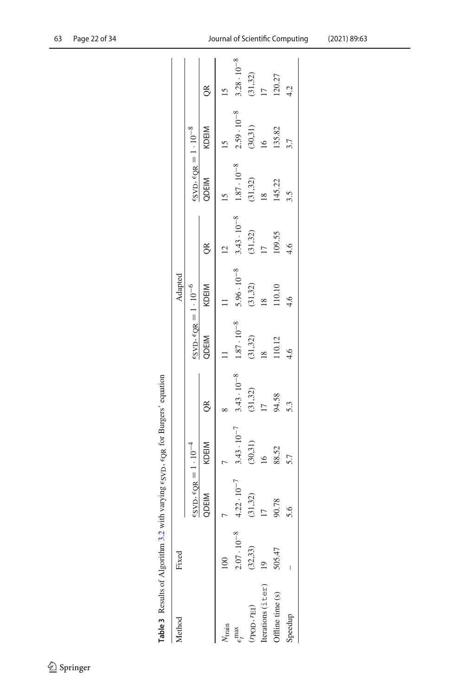| 63 | Page 22 of 34 |  |  |  |
|----|---------------|--|--|--|
|----|---------------|--|--|--|

<span id="page-21-0"></span>

| Table 3 Results of Algorithm 3.2 with varying $\epsilon_{\rm SVD}$ , $\epsilon_{\rm QR}$ for Burgers' equation |                      |                                                           |                      |                      |                                                                             |                      |                      |                                                                  |                      |                      |
|----------------------------------------------------------------------------------------------------------------|----------------------|-----------------------------------------------------------|----------------------|----------------------|-----------------------------------------------------------------------------|----------------------|----------------------|------------------------------------------------------------------|----------------------|----------------------|
| Method                                                                                                         | Fixed                |                                                           |                      |                      |                                                                             | Adapted              |                      |                                                                  |                      |                      |
|                                                                                                                |                      | $\epsilon_{\rm SVD}, \epsilon_{\rm QR} = 1 \cdot 10^{-4}$ |                      |                      | $\epsilon$ <sub>SVD</sub> , $\epsilon$ <sub>QR</sub> = 1 · 10 <sup>-6</sup> |                      |                      | $\frac{\epsilon_{\rm SVD}}{\epsilon_{\rm QR}} = 1 \cdot 10^{-8}$ |                      |                      |
|                                                                                                                |                      | QDEIM                                                     | <b>KDEIM</b>         | $\approx$            | QDEIM                                                                       | KDEIM                | $\alpha$             | QDEIM                                                            | KDEIM                | OR                   |
| $N_{\text{train}}$                                                                                             | $\approx$            |                                                           |                      |                      |                                                                             |                      |                      |                                                                  |                      |                      |
| $\epsilon_t^{\text{max}}$                                                                                      | $2.07 \cdot 10^{-8}$ | $4.22 \cdot 10^{-7}$                                      | $3.43 \cdot 10^{-7}$ | $3.43 \cdot 10^{-8}$ | $1.87 \cdot 10^{-8}$                                                        | $5.96 \cdot 10^{-8}$ | $3.43 \cdot 10^{-8}$ | $1.87\cdot10^{-8}$                                               | $2.59 \cdot 10^{-8}$ | $3.28 \cdot 10^{-8}$ |
| $r$ POD, $r_{\rm EI}$ )                                                                                        | (32, 33)             | (31, 32)                                                  | (30,31)              | (31,32)              | (31, 32)                                                                    | (31,32)              | (31, 32)             | (31,32)                                                          | (30, 31)             | (31,32)              |
| Iterations (iter)                                                                                              |                      |                                                           | $\frac{16}{2}$       |                      |                                                                             | $\frac{8}{18}$       |                      |                                                                  | $\frac{6}{2}$        |                      |
| Offline time (s)                                                                                               | 505.47               | 90.78                                                     | 88.52                | 94.58                | 110.12                                                                      | 110.10               | 109.55               | 145.22                                                           | 135.82               | 120.27               |
| Speedup                                                                                                        |                      | 5.6                                                       | 5.7                  | 5.3                  | 4.6                                                                         | $\frac{6}{4}$        | 4.6                  | 3.5                                                              | 3.7                  | $\frac{4}{3}$        |
|                                                                                                                |                      |                                                           |                      |                      |                                                                             |                      |                      |                                                                  |                      |                      |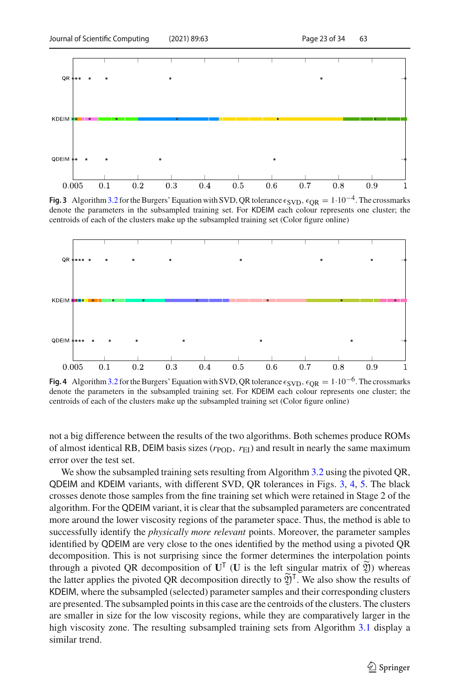

<span id="page-22-0"></span>**Fig. 3** Algorithm 3.2 for the Burgers' Equation with SVD, QR tolerance  $\epsilon$ <sub>SVD</sub>,  $\epsilon$ <sub>OR</sub> = 1·10<sup>-4</sup>. The crossmarks denote the parameters in the subsampled training set. For KDEIM each colour represents one cluster; the centroids of each of the clusters make up the subsampled training set (Color figure online)



<span id="page-22-1"></span>**Fig. 4** Algorithm 3.2 for the Burgers' Equation with SVD, QR tolerance  $\epsilon$ <sub>SVD</sub>,  $\epsilon$ <sub>OR</sub> = 1·10<sup>-6</sup>. The crossmarks denote the parameters in the subsampled training set. For KDEIM each colour represents one cluster; the centroids of each of the clusters make up the subsampled training set (Color figure online)

not a big difference between the results of the two algorithms. Both schemes produce ROMs of almost identical RB, DEIM basis sizes ( $r_{POD}$ ,  $r_{EI}$ ) and result in nearly the same maximum error over the test set.

We show the subsampled training sets resulting from Algorithm [3.2](#page-13-0) using the pivoted OR, QDEIM and KDEIM variants, with different SVD, QR tolerances in Figs. [3,](#page-22-0) [4,](#page-22-1) [5.](#page-23-0) The black crosses denote those samples from the fine training set which were retained in Stage 2 of the algorithm. For the QDEIM variant, it is clear that the subsampled parameters are concentrated more around the lower viscosity regions of the parameter space. Thus, the method is able to successfully identify the *physically more relevant* points. Moreover, the parameter samples identified by QDEIM are very close to the ones identified by the method using a pivoted QR decomposition. This is not surprising since the former determines the interpolation points through a pivoted QR decomposition of  $U^T$  (U is the left singular matrix of  $\widetilde{\mathfrak{Y}}$ ) whereas the latter applies the pivoted QR decomposition directly to  $\widetilde{\mathfrak{Y}}^{\mathsf{T}}$ . We also show the results of KDEIM, where the subsampled (selected) parameter samples and their corresponding clusters are presented. The subsampled points in this case are the centroids of the clusters. The clusters are smaller in size for the low viscosity regions, while they are comparatively larger in the high viscosity zone. The resulting subsampled training sets from Algorithm [3.1](#page-12-0) display a similar trend.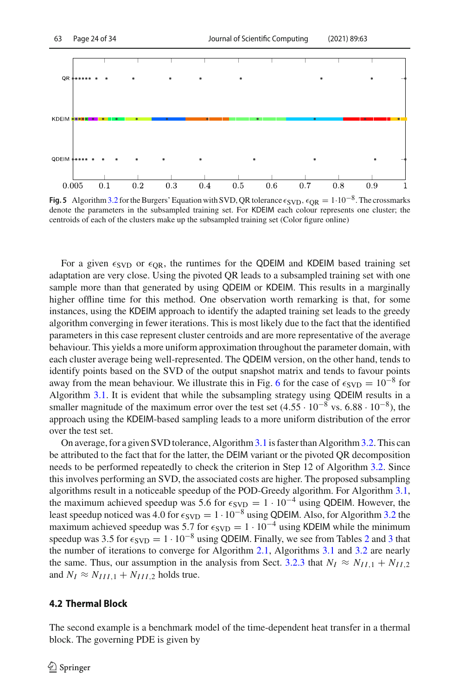

<span id="page-23-0"></span>**Fig. 5** Algorithm 3.2 for the Burgers' Equation with SVD, QR tolerance  $\epsilon_{SVD}$ ,  $\epsilon_{OR} = 1.10^{-8}$ . The crossmarks denote the parameters in the subsampled training set. For KDEIM each colour represents one cluster; the centroids of each of the clusters make up the subsampled training set (Color figure online)

For a given  $\epsilon_{SVD}$  or  $\epsilon_{OR}$ , the runtimes for the QDEIM and KDEIM based training set adaptation are very close. Using the pivoted QR leads to a subsampled training set with one sample more than that generated by using QDEIM or KDEIM. This results in a marginally higher offline time for this method. One observation worth remarking is that, for some instances, using the KDEIM approach to identify the adapted training set leads to the greedy algorithm converging in fewer iterations. This is most likely due to the fact that the identified parameters in this case represent cluster centroids and are more representative of the average behaviour. This yields a more uniform approximation throughout the parameter domain, with each cluster average being well-represented. The QDEIM version, on the other hand, tends to identify points based on the SVD of the output snapshot matrix and tends to favour points away from the mean behaviour. We illustrate this in Fig. [6](#page-24-0) for the case of  $\epsilon_{\rm SVD} = 10^{-8}$  for Algorithm [3.1.](#page-12-0) It is evident that while the subsampling strategy using QDEIM results in a smaller magnitude of the maximum error over the test set  $(4.55 \cdot 10^{-8} \text{ vs. } 6.88 \cdot 10^{-8})$ , the approach using the KDEIM-based sampling leads to a more uniform distribution of the error over the test set.

On average, for a given SVD tolerance, Algorithm[3.1](#page-12-0) is faster than Algorithm[3.2.](#page-13-0) This can be attributed to the fact that for the latter, the DEIM variant or the pivoted QR decomposition needs to be performed repeatedly to check the criterion in Step 12 of Algorithm [3.2.](#page-13-0) Since this involves performing an SVD, the associated costs are higher. The proposed subsampling algorithms result in a noticeable speedup of the POD-Greedy algorithm. For Algorithm [3.1,](#page-12-0) the maximum achieved speedup was 5.6 for  $\epsilon_{\text{SVD}} = 1 \cdot 10^{-4}$  using QDEIM. However, the least speedup noticed was 4.0 for  $\epsilon_{\text{SVD}} = 1 \cdot 10^{-8}$  using QDEIM. Also, for Algorithm [3.2](#page-13-0) the maximum achieved speedup was 5.7 for  $\epsilon_{SVD} = 1 \cdot 10^{-4}$  using KDEIM while the minimum speedup was [3](#page-21-0).5 for  $\epsilon_{SVD} = 1 \cdot 10^{-8}$  using QDEIM. Finally, we see from Tables [2](#page-20-0) and 3 that the number of iterations to converge for Algorithm [2.1,](#page-5-0) Algorithms [3.1](#page-12-0) and [3.2](#page-13-0) are nearly the same. Thus, our assumption in the analysis from Sect. [3.2.3](#page-15-0) that  $N_I \approx N_{II,1} + N_{II,2}$ and  $N_I \approx N_{III,1} + N_{III,2}$  holds true.

### **4.2 Thermal Block**

The second example is a benchmark model of the time-dependent heat transfer in a thermal block. The governing PDE is given by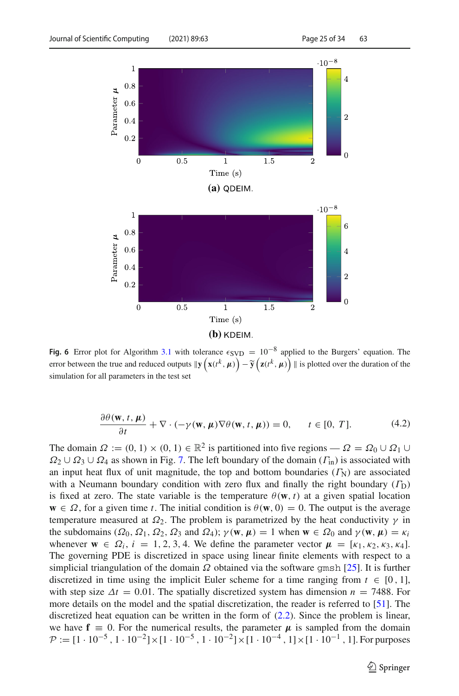

<span id="page-24-0"></span>**Fig. 6** Error plot for Algorithm [3.1](#page-12-0) with tolerance  $\epsilon$ <sub>SVD</sub> = 10<sup>-8</sup> applied to the Burgers' equation. The error between the true and reduced outputs  $\|\mathbf{y}\left(\mathbf{x}(t^k, \mu)\right) - \tilde{\mathbf{y}}\left(\mathbf{z}(t^k, \mu)\right)\|$  is plotted over the duration of the simulation for all parameters in the test set

$$
\frac{\partial \theta(\mathbf{w}, t, \boldsymbol{\mu})}{\partial t} + \nabla \cdot (-\gamma(\mathbf{w}, \boldsymbol{\mu}) \nabla \theta(\mathbf{w}, t, \boldsymbol{\mu})) = 0, \quad t \in [0, T]. \tag{4.2}
$$

The domain  $\Omega := (0, 1) \times (0, 1) \in \mathbb{R}^2$  is partitioned into five regions —  $\Omega = \Omega_0 \cup \Omega_1 \cup$  $\Omega_2 \cup \Omega_3 \cup \Omega_4$  as shown in Fig. [7.](#page-25-0) The left boundary of the domain  $(\Gamma_{\text{in}})$  is associated with an input heat flux of unit magnitude, the top and bottom boundaries  $(\Gamma_N)$  are associated with a Neumann boundary condition with zero flux and finally the right boundary  $(\Gamma_D)$ is fixed at zero. The state variable is the temperature  $\theta(\mathbf{w}, t)$  at a given spatial location  $\mathbf{w} \in \Omega$ , for a given time *t*. The initial condition is  $\theta(\mathbf{w}, 0) = 0$ . The output is the average temperature measured at  $\Omega_2$ . The problem is parametrized by the heat conductivity  $\gamma$  in the subdomains ( $\Omega_0$ ,  $\Omega_1$ ,  $\Omega_2$ ,  $\Omega_3$  and  $\Omega_4$ );  $\gamma(\mathbf{w}, \mu) = 1$  when  $\mathbf{w} \in \Omega_0$  and  $\gamma(\mathbf{w}, \mu) = \kappa_i$ whenever  $\mathbf{w} \in \Omega_i$ ,  $i = 1, 2, 3, 4$ . We define the parameter vector  $\mathbf{\mu} = [\kappa_1, \kappa_2, \kappa_3, \kappa_4]$ . The governing PDE is discretized in space using linear finite elements with respect to a simplicial triangulation of the domain  $\Omega$  obtained via the software gmsh [\[25\]](#page-31-21). It is further discretized in time using the implicit Euler scheme for a time ranging from  $t \in [0, 1]$ , with step size  $\Delta t = 0.01$ . The spatially discretized system has dimension  $n = 7488$ . For more details on the model and the spatial discretization, the reader is referred to [\[51\]](#page-33-7). The discretized heat equation can be written in the form of [\(2.2\)](#page-3-1). Since the problem is linear, we have  $f = 0$ . For the numerical results, the parameter  $\mu$  is sampled from the domain  $P := [1 \cdot 10^{-5}, 1 \cdot 10^{-2}] \times [1 \cdot 10^{-5}, 1 \cdot 10^{-2}] \times [1 \cdot 10^{-4}, 1] \times [1 \cdot 10^{-1}, 1]$ . For purposes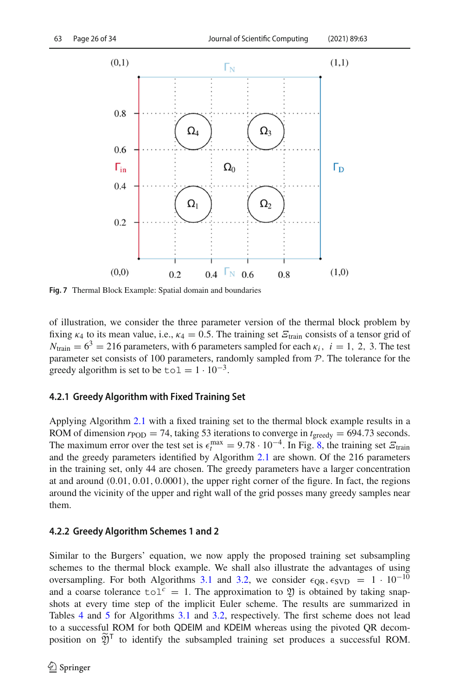

<span id="page-25-0"></span>**Fig. 7** Thermal Block Example: Spatial domain and boundaries

of illustration, we consider the three parameter version of the thermal block problem by fixing  $\kappa_4$  to its mean value, i.e.,  $\kappa_4 = 0.5$ . The training set  $\mathcal{E}_{\text{train}}$  consists of a tensor grid of  $N_{\text{train}} = 6^3 = 216$  parameters, with 6 parameters sampled for each  $\kappa_i$ ,  $i = 1, 2, 3$ . The test parameter set consists of 100 parameters, randomly sampled from *P*. The tolerance for the greedy algorithm is set to be to  $1 = 1 \cdot 10^{-3}$ .

### **4.2.1 Greedy Algorithm with Fixed Training Set**

Applying Algorithm [2.1](#page-5-0) with a fixed training set to the thermal block example results in a ROM of dimension  $r_{POD} = 74$ , taking 53 iterations to converge in  $t_{greedy} = 694.73$  seconds. The maximum error over the test set is  $\epsilon_t^{\text{max}} = 9.78 \cdot 10^{-4}$ . In Fig. [8,](#page-26-0) the training set  $\epsilon_t^{\text{train}}$ and the greedy parameters identified by Algorithm [2.1](#page-5-0) are shown. Of the 216 parameters in the training set, only 44 are chosen. The greedy parameters have a larger concentration at and around (0.01, 0.01, 0.0001), the upper right corner of the figure. In fact, the regions around the vicinity of the upper and right wall of the grid posses many greedy samples near them.

### **4.2.2 Greedy Algorithm Schemes 1 and 2**

Similar to the Burgers' equation, we now apply the proposed training set subsampling schemes to the thermal block example. We shall also illustrate the advantages of using oversampling. For both Algorithms [3.1](#page-12-0) and [3.2,](#page-13-0) we consider  $\epsilon_{OR}$ ,  $\epsilon_{SVD} = 1 \cdot 10^{-10}$ and a coarse tolerance  $\text{tol}^c = 1$ . The approximation to  $\mathfrak V$  is obtained by taking snapshots at every time step of the implicit Euler scheme. The results are summarized in Tables [4](#page-26-1) and [5](#page-27-1) for Algorithms [3.1](#page-12-0) and [3.2,](#page-13-0) respectively. The first scheme does not lead to a successful ROM for both QDEIM and KDEIM whereas using the pivoted QR decomposition on  $\widetilde{\mathfrak{Y}}^{\mathsf{T}}$  to identify the subsampled training set produces a successful ROM.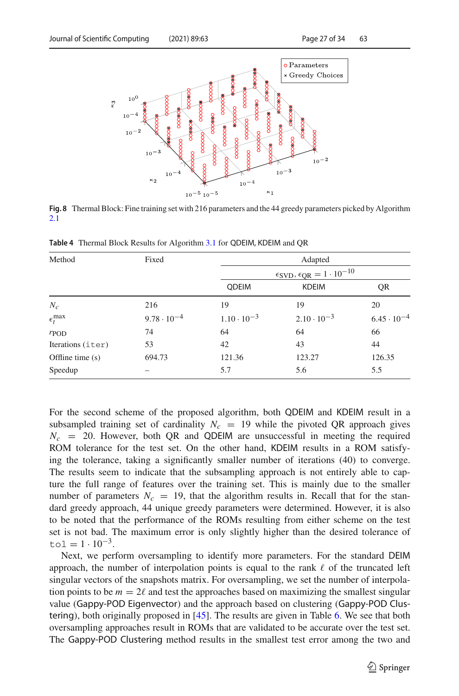

<span id="page-26-0"></span>**Fig. 8** Thermal Block: Fine training set with 216 parameters and the 44 greedy parameters picked by Algorithm [2.1](#page-5-0)

| Method              | Fixed                |                      | Adapted                                                                      |                      |
|---------------------|----------------------|----------------------|------------------------------------------------------------------------------|----------------------|
|                     |                      |                      | $\epsilon$ <sub>SVD</sub> , $\epsilon$ <sub>QR</sub> = 1 · 10 <sup>-10</sup> |                      |
|                     |                      | <b>QDEIM</b>         | <b>KDEIM</b>                                                                 | QR                   |
| $N_c$               | 216                  | 19                   | 19                                                                           | 20                   |
| $\epsilon_t^{\max}$ | $9.78 \cdot 10^{-4}$ | $1.10 \cdot 10^{-3}$ | $2.10 \cdot 10^{-3}$                                                         | $6.45 \cdot 10^{-4}$ |
| $r_{\rm POD}$       | 74                   | 64                   | 64                                                                           | 66                   |
| Iterations (iter)   | 53                   | 42                   | 43                                                                           | 44                   |
| Offline time (s)    | 694.73               | 121.36               | 123.27                                                                       | 126.35               |
| Speedup             |                      | 5.7                  | 5.6                                                                          | 5.5                  |

<span id="page-26-1"></span>**Table 4** Thermal Block Results for Algorithm [3.1](#page-12-0) for QDEIM, KDEIM and QR

For the second scheme of the proposed algorithm, both QDEIM and KDEIM result in a subsampled training set of cardinality  $N_c = 19$  while the pivoted QR approach gives  $N_c$  = 20. However, both QR and QDEIM are unsuccessful in meeting the required ROM tolerance for the test set. On the other hand, KDEIM results in a ROM satisfying the tolerance, taking a significantly smaller number of iterations (40) to converge. The results seem to indicate that the subsampling approach is not entirely able to capture the full range of features over the training set. This is mainly due to the smaller number of parameters  $N_c = 19$ , that the algorithm results in. Recall that for the standard greedy approach, 44 unique greedy parameters were determined. However, it is also to be noted that the performance of the ROMs resulting from either scheme on the test set is not bad. The maximum error is only slightly higher than the desired tolerance of  $\text{tol} = 1 \cdot 10^{-3}$ .

Next, we perform oversampling to identify more parameters. For the standard DEIM approach, the number of interpolation points is equal to the rank  $\ell$  of the truncated left singular vectors of the snapshots matrix. For oversampling, we set the number of interpolation points to be  $m = 2\ell$  and test the approaches based on maximizing the smallest singular value (Gappy-POD Eigenvector) and the approach based on clustering (Gappy-POD Clustering), both originally proposed in [\[45](#page-32-14)]. The results are given in Table [6.](#page-27-0) We see that both oversampling approaches result in ROMs that are validated to be accurate over the test set. The Gappy-POD Clustering method results in the smallest test error among the two and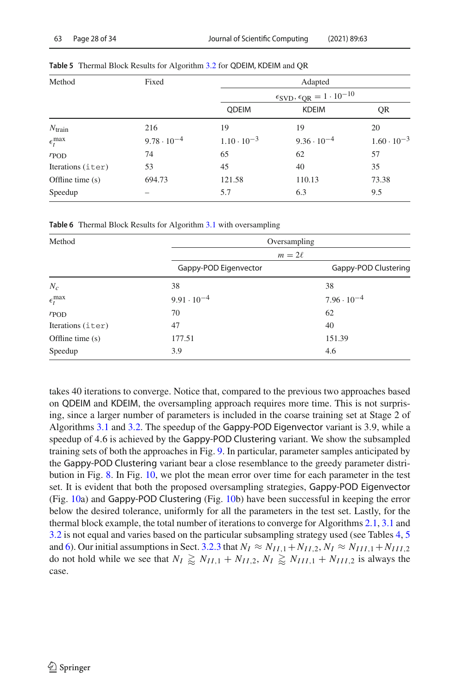| Method              | Fixed                |                      | Adapted                                                                      |                      |
|---------------------|----------------------|----------------------|------------------------------------------------------------------------------|----------------------|
|                     |                      |                      | $\epsilon$ <sub>SVD</sub> , $\epsilon$ <sub>QR</sub> = 1 · 10 <sup>-10</sup> |                      |
|                     |                      | <b>ODEIM</b>         | <b>KDEIM</b>                                                                 | QR                   |
| $N_{\text{train}}$  | 216                  | 19                   | 19                                                                           | 20                   |
| $\epsilon_t^{\max}$ | $9.78 \cdot 10^{-4}$ | $1.10 \cdot 10^{-3}$ | $9.36 \cdot 10^{-4}$                                                         | $1.60 \cdot 10^{-3}$ |
| r <sub>POD</sub>    | 74                   | 65                   | 62                                                                           | 57                   |
| Iterations (iter)   | 53                   | 45                   | 40                                                                           | 35                   |
| Offline time $(s)$  | 694.73               | 121.58               | 110.13                                                                       | 73.38                |
| Speedup             |                      | 5.7                  | 6.3                                                                          | 9.5                  |

<span id="page-27-1"></span>**Table 5** Thermal Block Results for Algorithm [3.2](#page-13-0) for QDEIM, KDEIM and QR

<span id="page-27-0"></span>**Table 6** Thermal Block Results for Algorithm [3.1](#page-12-0) with oversampling

| Method              | Oversampling          |                      |  |  |  |  |
|---------------------|-----------------------|----------------------|--|--|--|--|
|                     | $m=2\ell$             |                      |  |  |  |  |
|                     | Gappy-POD Eigenvector | Gappy-POD Clustering |  |  |  |  |
| $N_c$               | 38                    | 38                   |  |  |  |  |
| $\epsilon_t^{\max}$ | $9.91 \cdot 10^{-4}$  | $7.96 \cdot 10^{-4}$ |  |  |  |  |
| $r_{\rm POD}$       | 70                    | 62                   |  |  |  |  |
| Iterations (iter)   | 47                    | 40                   |  |  |  |  |
| Offline time (s)    | 177.51                | 151.39               |  |  |  |  |
| Speedup             | 3.9                   | 4.6                  |  |  |  |  |

takes 40 iterations to converge. Notice that, compared to the previous two approaches based on QDEIM and KDEIM, the oversampling approach requires more time. This is not surprising, since a larger number of parameters is included in the coarse training set at Stage 2 of Algorithms [3.1](#page-12-0) and [3.2.](#page-13-0) The speedup of the Gappy-POD Eigenvector variant is 3.9, while a speedup of 4.6 is achieved by the Gappy-POD Clustering variant. We show the subsampled training sets of both the approaches in Fig. [9.](#page-28-0) In particular, parameter samples anticipated by the Gappy-POD Clustering variant bear a close resemblance to the greedy parameter distribution in Fig. [8.](#page-26-0) In Fig. [10,](#page-29-0) we plot the mean error over time for each parameter in the test set. It is evident that both the proposed oversampling strategies, Gappy-POD Eigenvector (Fig. [10a](#page-29-0)) and Gappy-POD Clustering (Fig. [10b](#page-29-0)) have been successful in keeping the error below the desired tolerance, uniformly for all the parameters in the test set. Lastly, for the thermal block example, the total number of iterations to converge for Algorithms [2.1,](#page-5-0) [3.1](#page-12-0) and [3.2](#page-13-0) is not equal and varies based on the particular subsampling strategy used (see Tables [4,](#page-26-1) [5](#page-27-1) and [6\)](#page-27-0). Our initial assumptions in Sect. [3.2.3](#page-15-0) that  $N_I \approx N_{II,1} + N_{II,2}$ ,  $N_I \approx N_{III,1} + N_{III,2}$ do not hold while we see that  $N_I \gtrapprox N_{II,1} + N_{II,2}$ ,  $N_I \gtrapprox N_{III,1} + N_{III,2}$  is always the case.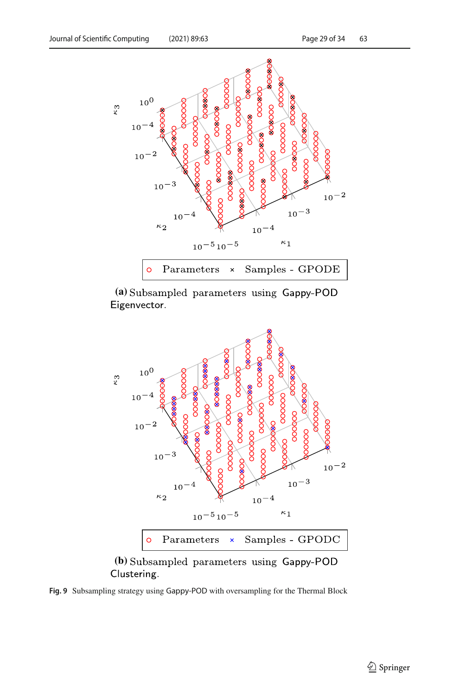

**(a)** Eigenvector.



(b) Subsampled parameters using Gappy-POD Clustering.

<span id="page-28-0"></span>**Fig. 9** Subsampling strategy using Gappy-POD with oversampling for the Thermal Block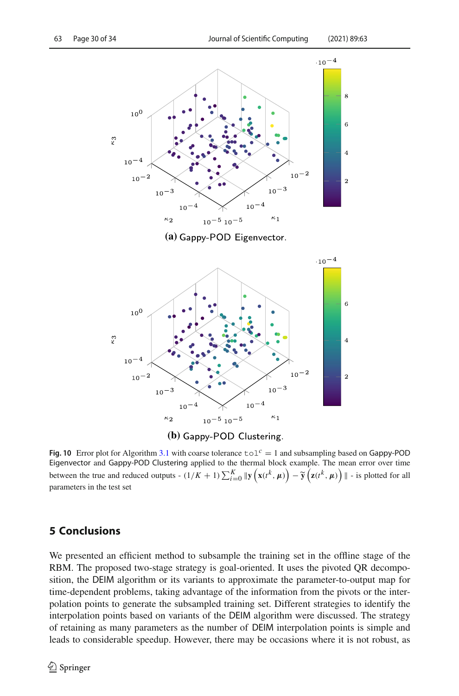



<span id="page-29-0"></span>**Fig. 10** Error plot for Algorithm [3.1](#page-12-0) with coarse tolerance  $\text{tol}^c = 1$  and subsampling based on Gappy-POD Eigenvector and Gappy-POD Clustering applied to the thermal block example. The mean error over time between the true and reduced outputs -  $(1/K + 1) \sum_{i=0}^{K} ||y(\mathbf{x}(t^k, \mu)) - \tilde{y}(\mathbf{z}(t^k, \mu))||$  - is plotted for all parameters in the test set

# **5 Conclusions**

We presented an efficient method to subsample the training set in the offline stage of the RBM. The proposed two-stage strategy is goal-oriented. It uses the pivoted QR decomposition, the DEIM algorithm or its variants to approximate the parameter-to-output map for time-dependent problems, taking advantage of the information from the pivots or the interpolation points to generate the subsampled training set. Different strategies to identify the interpolation points based on variants of the DEIM algorithm were discussed. The strategy of retaining as many parameters as the number of DEIM interpolation points is simple and leads to considerable speedup. However, there may be occasions where it is not robust, as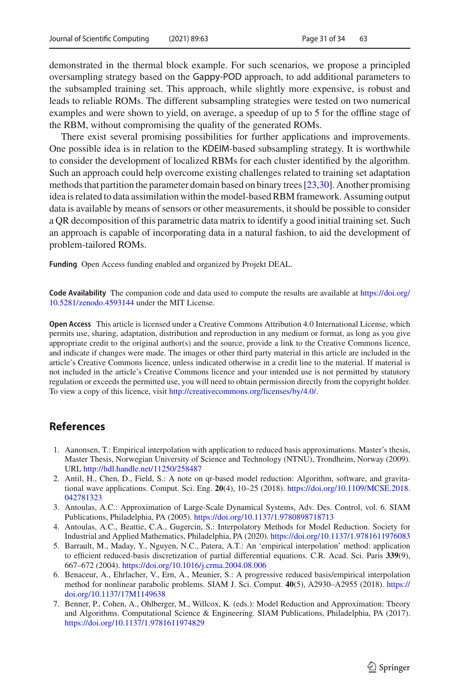demonstrated in the thermal block example. For such scenarios, we propose a principled oversampling strategy based on the Gappy-POD approach, to add additional parameters to the subsampled training set. This approach, while slightly more expensive, is robust and leads to reliable ROMs. The different subsampling strategies were tested on two numerical examples and were shown to yield, on average, a speedup of up to 5 for the offline stage of the RBM, without compromising the quality of the generated ROMs.

There exist several promising possibilities for further applications and improvements. One possible idea is in relation to the KDEIM-based subsampling strategy. It is worthwhile to consider the development of localized RBMs for each cluster identified by the algorithm. Such an approach could help overcome existing challenges related to training set adaptation methods that partition the parameter domain based on binary trees [\[23](#page-31-2)[,30](#page-31-3)]. Another promising idea is related to data assimilation within the model-based RBM framework. Assuming output data is available by means of sensors or other measurements, it should be possible to consider a QR decomposition of this parametric data matrix to identify a good initial training set. Such an approach is capable of incorporating data in a natural fashion, to aid the development of problem-tailored ROMs.

**Funding** Open Access funding enabled and organized by Projekt DEAL.

**Code Availability** The companion code and data used to compute the results are available at [https://doi.org/](https://doi.org/10.5281/zenodo.4593144) [10.5281/zenodo.4593144](https://doi.org/10.5281/zenodo.4593144) under the MIT License.

**Open Access** This article is licensed under a Creative Commons Attribution 4.0 International License, which permits use, sharing, adaptation, distribution and reproduction in any medium or format, as long as you give appropriate credit to the original author(s) and the source, provide a link to the Creative Commons licence, and indicate if changes were made. The images or other third party material in this article are included in the article's Creative Commons licence, unless indicated otherwise in a credit line to the material. If material is not included in the article's Creative Commons licence and your intended use is not permitted by statutory regulation or exceeds the permitted use, you will need to obtain permission directly from the copyright holder. To view a copy of this licence, visit [http://creativecommons.org/licenses/by/4.0/.](http://creativecommons.org/licenses/by/4.0/)

# **References**

- <span id="page-30-6"></span>1. Aanonsen, T.: Empirical interpolation with application to reduced basis approximations. Master's thesis, Master Thesis, Norwegian University of Science and Technology (NTNU), Trondheim, Norway (2009). URL <http://hdl.handle.net/11250/258487>
- <span id="page-30-5"></span>2. Antil, H., Chen, D., Field, S.: A note on qr-based model reduction: Algorithm, software, and gravitational wave applications. Comput. Sci. Eng. **20**(4), 10–25 (2018). [https://doi.org/10.1109/MCSE.2018.](https://doi.org/10.1109/MCSE.2018.042781323) [042781323](https://doi.org/10.1109/MCSE.2018.042781323)
- <span id="page-30-0"></span>3. Antoulas, A.C.: Approximation of Large-Scale Dynamical Systems, Adv. Des. Control, vol. 6. SIAM Publications, Philadelphia, PA (2005). <https://doi.org/10.1137/1.9780898718713>
- <span id="page-30-1"></span>4. Antoulas, A.C., Beattie, C.A., Gugercin, S.: Interpolatory Methods for Model Reduction. Society for Industrial and Applied Mathematics, Philadelphia, PA (2020). <https://doi.org/10.1137/1.9781611976083>
- <span id="page-30-3"></span>5. Barrault, M., Maday, Y., Nguyen, N.C., Patera, A.T.: An 'empirical interpolation' method: application to efficient reduced-basis discretization of partial differential equations. C.R. Acad. Sci. Paris **339**(9), 667–672 (2004). <https://doi.org/10.1016/j.crma.2004.08.006>
- <span id="page-30-4"></span>6. Benaceur, A., Ehrlacher, V., Ern, A., Meunier, S.: A progressive reduced basis/empirical interpolation method for nonlinear parabolic problems. SIAM J. Sci. Comput. **40**(5), A2930–A2955 (2018). [https://](https://doi.org/10.1137/17M1149638) [doi.org/10.1137/17M1149638](https://doi.org/10.1137/17M1149638)
- <span id="page-30-2"></span>7. Benner, P., Cohen, A., Ohlberger, M., Willcox, K. (eds.): Model Reduction and Approximation: Theory and Algorithms. Computational Science & Engineering. SIAM Publications, Philadelphia, PA (2017). <https://doi.org/10.1137/1.9781611974829>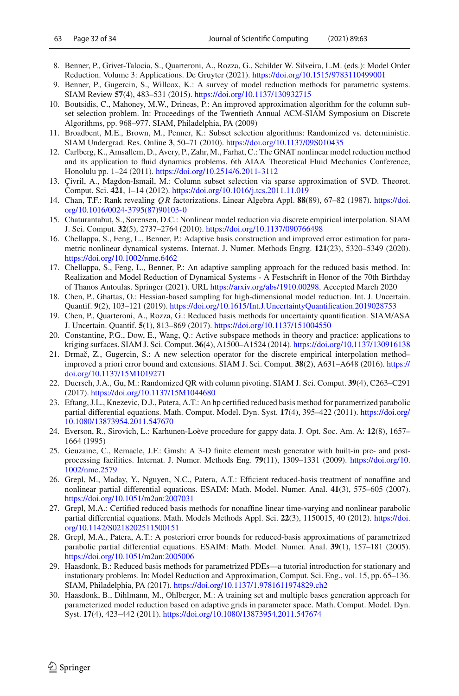- 8. Benner, P., Grivet-Talocia, S., Quarteroni, A., Rozza, G., Schilder W. Silveira, L.M. (eds.): Model Order Reduction. Volume 3: Applications. De Gruyter (2021). <https://doi.org/10.1515/9783110499001>
- <span id="page-31-0"></span>9. Benner, P., Gugercin, S., Willcox, K.: A survey of model reduction methods for parametric systems. SIAM Review **57**(4), 483–531 (2015). <https://doi.org/10.1137/130932715>
- <span id="page-31-16"></span>10. Boutsidis, C., Mahoney, M.W., Drineas, P.: An improved approximation algorithm for the column subset selection problem. In: Proceedings of the Twentieth Annual ACM-SIAM Symposium on Discrete Algorithms, pp. 968–977. SIAM, Philadelphia, PA (2009)
- <span id="page-31-17"></span>11. Broadbent, M.E., Brown, M., Penner, K.: Subset selection algorithms: Randomized vs. deterministic. SIAM Undergrad. Res. Online **3**, 50–71 (2010). <https://doi.org/10.1137/09S010435>
- <span id="page-31-12"></span>12. Carlberg, K., Amsallem, D., Avery, P., Zahr, M., Farhat, C.: The GNAT nonlinear model reduction method and its application to fluid dynamics problems. 6th AIAA Theoretical Fluid Mechanics Conference, Honolulu pp. 1–24 (2011). <https://doi.org/10.2514/6.2011-3112>
- <span id="page-31-18"></span>13. Çivril, A., Magdon-Ismail, M.: Column subset selection via sparse approximation of SVD. Theoret. Comput. Sci. **421**, 1–14 (2012). <https://doi.org/10.1016/j.tcs.2011.11.019>
- <span id="page-31-20"></span>14. Chan, T.F.: Rank revealing *Q R* factorizations. Linear Algebra Appl. **88**(89), 67–82 (1987). [https://doi.](https://doi.org/10.1016/0024-3795(87)90103-0) [org/10.1016/0024-3795\(87\)90103-0](https://doi.org/10.1016/0024-3795(87)90103-0)
- <span id="page-31-7"></span>15. Chaturantabut, S., Sorensen, D.C.: Nonlinear model reduction via discrete empirical interpolation. SIAM J. Sci. Comput. **32**(5), 2737–2764 (2010). <https://doi.org/10.1137/090766498>
- <span id="page-31-8"></span>16. Chellappa, S., Feng, L., Benner, P.: Adaptive basis construction and improved error estimation for parametric nonlinear dynamical systems. Internat. J. Numer. Methods Engrg. **121**(23), 5320–5349 (2020). <https://doi.org/10.1002/nme.6462>
- <span id="page-31-4"></span>17. Chellappa, S., Feng, L., Benner, P.: An adaptive sampling approach for the reduced basis method. In: Realization and Model Reduction of Dynamical Systems - A Festschrift in Honor of the 70th Birthday of Thanos Antoulas. Springer (2021). URL [https://arxiv.org/abs/1910.00298.](https://arxiv.org/abs/1910.00298) Accepted March 2020
- <span id="page-31-5"></span>18. Chen, P., Ghattas, O.: Hessian-based sampling for high-dimensional model reduction. Int. J. Uncertain. Quantif. **9**(2), 103–121 (2019). <https://doi.org/10.1615/Int.J.UncertaintyQuantification.2019028753>
- <span id="page-31-1"></span>19. Chen, P., Quarteroni, A., Rozza, G.: Reduced basis methods for uncertainty quantification. SIAM/ASA J. Uncertain. Quantif. **5**(1), 813–869 (2017). <https://doi.org/10.1137/151004550>
- <span id="page-31-6"></span>20. Constantine, P.G., Dow, E., Wang, Q.: Active subspace methods in theory and practice: applications to kriging surfaces. SIAM J. Sci. Comput. **36**(4), A1500–A1524 (2014). <https://doi.org/10.1137/130916138>
- <span id="page-31-11"></span>21. Drmaˇc, Z., Gugercin, S.: A new selection operator for the discrete empirical interpolation method– improved a priori error bound and extensions. SIAM J. Sci. Comput. **38**(2), A631–A648 (2016). [https://](https://doi.org/10.1137/15M1019271) [doi.org/10.1137/15M1019271](https://doi.org/10.1137/15M1019271)
- <span id="page-31-19"></span>22. Duersch, J.A., Gu, M.: Randomized QR with column pivoting. SIAM J. Sci. Comput. **39**(4), C263–C291 (2017). <https://doi.org/10.1137/15M1044680>
- <span id="page-31-2"></span>23. Eftang, J.L., Knezevic, D.J., Patera, A.T.: An hp certified reduced basis method for parametrized parabolic partial differential equations. Math. Comput. Model. Dyn. Syst. **17**(4), 395–422 (2011). [https://doi.org/](https://doi.org/10.1080/13873954.2011.547670) [10.1080/13873954.2011.547670](https://doi.org/10.1080/13873954.2011.547670)
- <span id="page-31-13"></span>24. Everson, R., Sirovich, L.: Karhunen-Loève procedure for gappy data. J. Opt. Soc. Am. A: **12**(8), 1657– 1664 (1995)
- <span id="page-31-21"></span>25. Geuzaine, C., Remacle, J.F.: Gmsh: A 3-D finite element mesh generator with built-in pre- and postprocessing facilities. Internat. J. Numer. Methods Eng. **79**(11), 1309–1331 (2009). [https://doi.org/10.](https://doi.org/10.1002/nme.2579) [1002/nme.2579](https://doi.org/10.1002/nme.2579)
- <span id="page-31-9"></span>26. Grepl, M., Maday, Y., Nguyen, N.C., Patera, A.T.: Efficient reduced-basis treatment of nonaffine and nonlinear partial differential equations. ESAIM: Math. Model. Numer. Anal. **41**(3), 575–605 (2007). <https://doi.org/10.1051/m2an:2007031>
- <span id="page-31-14"></span>27. Grepl, M.A.: Certified reduced basis methods for nonaffine linear time-varying and nonlinear parabolic partial differential equations. Math. Models Methods Appl. Sci. **22**(3), 1150015, 40 (2012). [https://doi.](https://doi.org/10.1142/S0218202511500151) [org/10.1142/S0218202511500151](https://doi.org/10.1142/S0218202511500151)
- <span id="page-31-10"></span>28. Grepl, M.A., Patera, A.T.: A posteriori error bounds for reduced-basis approximations of parametrized parabolic partial differential equations. ESAIM: Math. Model. Numer. Anal. **39**(1), 157–181 (2005). <https://doi.org/10.1051/m2an:2005006>
- <span id="page-31-15"></span>29. Haasdonk, B.: Reduced basis methods for parametrized PDEs—a tutorial introduction for stationary and instationary problems. In: Model Reduction and Approximation, Comput. Sci. Eng., vol. 15, pp. 65–136. SIAM, Philadelphia, PA (2017). <https://doi.org/10.1137/1.9781611974829.ch2>
- <span id="page-31-3"></span>30. Haasdonk, B., Dihlmann, M., Ohlberger, M.: A training set and multiple bases generation approach for parameterized model reduction based on adaptive grids in parameter space. Math. Comput. Model. Dyn. Syst. **17**(4), 423–442 (2011). <https://doi.org/10.1080/13873954.2011.547674>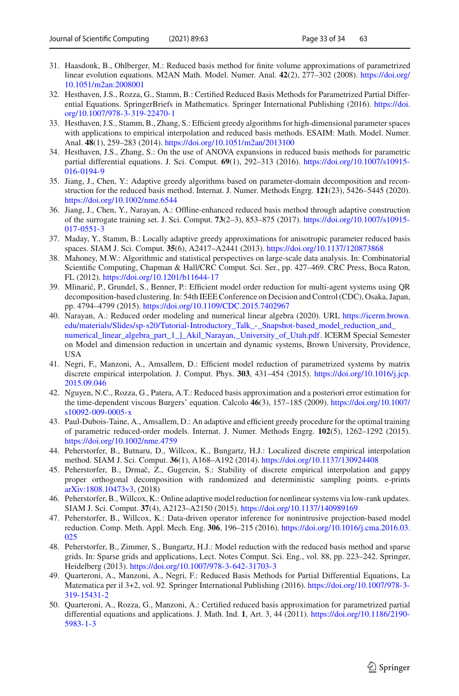- <span id="page-32-16"></span>31. Haasdonk, B., Ohlberger, M.: Reduced basis method for finite volume approximations of parametrized linear evolution equations. M2AN Math. Model. Numer. Anal. **42**(2), 277–302 (2008). [https://doi.org/](https://doi.org/10.1051/m2an:2008001) [10.1051/m2an:2008001](https://doi.org/10.1051/m2an:2008001)
- <span id="page-32-1"></span>32. Hesthaven, J.S., Rozza, G., Stamm, B.: Certified Reduced Basis Methods for Parametrized Partial Differential Equations. SpringerBriefs in Mathematics. Springer International Publishing (2016). [https://doi.](https://doi.org/10.1007/978-3-319-22470-1) [org/10.1007/978-3-319-22470-1](https://doi.org/10.1007/978-3-319-22470-1)
- <span id="page-32-4"></span>33. Hesthaven, J.S., Stamm, B., Zhang, S.: Efficient greedy algorithms for high-dimensional parameter spaces with applications to empirical interpolation and reduced basis methods. ESAIM: Math. Model. Numer. Anal. **48**(1), 259–283 (2014). <https://doi.org/10.1051/m2an/2013100>
- <span id="page-32-5"></span>34. Hesthaven, J.S., Zhang, S.: On the use of ANOVA expansions in reduced basis methods for parametric partial differential equations. J. Sci. Comput. **69**(1), 292–313 (2016). [https://doi.org/10.1007/s10915-](https://doi.org/10.1007/s10915-016-0194-9) [016-0194-9](https://doi.org/10.1007/s10915-016-0194-9)
- <span id="page-32-8"></span>35. Jiang, J., Chen, Y.: Adaptive greedy algorithms based on parameter-domain decomposition and reconstruction for the reduced basis method. Internat. J. Numer. Methods Engrg. **121**(23), 5426–5445 (2020). <https://doi.org/10.1002/nme.6544>
- <span id="page-32-7"></span>36. Jiang, J., Chen, Y., Narayan, A.: Offline-enhanced reduced basis method through adaptive construction of the surrogate training set. J. Sci. Comput. **73**(2–3), 853–875 (2017). [https://doi.org/10.1007/s10915-](https://doi.org/10.1007/s10915-017-0551-3) [017-0551-3](https://doi.org/10.1007/s10915-017-0551-3)
- <span id="page-32-6"></span>37. Maday, Y., Stamm, B.: Locally adaptive greedy approximations for anisotropic parameter reduced basis spaces. SIAM J. Sci. Comput. **35**(6), A2417–A2441 (2013). <https://doi.org/10.1137/120873868>
- <span id="page-32-19"></span>38. Mahoney, M.W.: Algorithmic and statistical perspectives on large-scale data analysis. In: Combinatorial Scientific Computing, Chapman & Hall/CRC Comput. Sci. Ser., pp. 427–469. CRC Press, Boca Raton, FL (2012). <https://doi.org/10.1201/b11644-17>
- <span id="page-32-15"></span>39. Mlinarić, P., Grundel, S., Benner, P.: Efficient model order reduction for multi-agent systems using OR decomposition-based clustering. In: 54th IEEE Conference on Decision and Control (CDC), Osaka, Japan, pp. 4794–4799 (2015). <https://doi.org/10.1109/CDC.2015.7402967>
- <span id="page-32-18"></span>40. Narayan, A.: Reduced order modeling and numerical linear algebra (2020). URL [https://icerm.brown.](https://icerm.brown.edu/materials/Slides/sp-s20/Tutorial-Introductory_Talk_-_Snapshot-based_model_reduction_and_numerical_linear_algebra_part_1_]_Akil_Narayan,_University_of_Utah.pdf) [edu/materials/Slides/sp-s20/Tutorial-Introductory\\_Talk\\_-\\_Snapshot-based\\_model\\_reduction\\_and\\_](https://icerm.brown.edu/materials/Slides/sp-s20/Tutorial-Introductory_Talk_-_Snapshot-based_model_reduction_and_numerical_linear_algebra_part_1_]_Akil_Narayan,_University_of_Utah.pdf) [numerical\\_linear\\_algebra\\_part\\_1\\_\]\\_Akil\\_Narayan,\\_University\\_of\\_Utah.pdf.](https://icerm.brown.edu/materials/Slides/sp-s20/Tutorial-Introductory_Talk_-_Snapshot-based_model_reduction_and_numerical_linear_algebra_part_1_]_Akil_Narayan,_University_of_Utah.pdf) ICERM Special Semester on Model and dimension reduction in uncertain and dynamic systems, Brown University, Providence, USA
- <span id="page-32-11"></span>41. Negri, F., Manzoni, A., Amsallem, D.: Efficient model reduction of parametrized systems by matrix discrete empirical interpolation. J. Comput. Phys. **303**, 431–454 (2015). [https://doi.org/10.1016/j.jcp.](https://doi.org/10.1016/j.jcp.2015.09.046) [2015.09.046](https://doi.org/10.1016/j.jcp.2015.09.046)
- <span id="page-32-17"></span>42. Nguyen, N.C., Rozza, G., Patera, A.T.: Reduced basis approximation and a posteriori error estimation for the time-dependent viscous Burgers' equation. Calcolo **46**(3), 157–185 (2009). [https://doi.org/10.1007/](https://doi.org/10.1007/s10092-009-0005-x) [s10092-009-0005-x](https://doi.org/10.1007/s10092-009-0005-x)
- <span id="page-32-9"></span>43. Paul-Dubois-Taine, A., Amsallem, D.: An adaptive and efficient greedy procedure for the optimal training of parametric reduced-order models. Internat. J. Numer. Methods Engrg. **102**(5), 1262–1292 (2015). <https://doi.org/10.1002/nme.4759>
- <span id="page-32-12"></span>44. Peherstorfer, B., Butnaru, D., Willcox, K., Bungartz, H.J.: Localized discrete empirical interpolation method. SIAM J. Sci. Comput. **36**(1), A168–A192 (2014). <https://doi.org/10.1137/130924408>
- <span id="page-32-14"></span>45. Peherstorfer, B., Drmač, Z., Gugercin, S.: Stability of discrete empirical interpolation and gappy proper orthogonal decomposition with randomized and deterministic sampling points. e-prints [arXiv:1808.10473v3,](http://arxiv.org/abs/1808.10473v3) (2018)
- <span id="page-32-13"></span>46. Peherstorfer, B.,Willcox, K.: Online adaptive model reduction for nonlinear systems via low-rank updates. SIAM J. Sci. Comput. **37**(4), A2123–A2150 (2015). <https://doi.org/10.1137/140989169>
- <span id="page-32-0"></span>47. Peherstorfer, B., Willcox, K.: Data-driven operator inference for nonintrusive projection-based model reduction. Comp. Meth. Appl. Mech. Eng. **306**, 196–215 (2016). [https://doi.org/10.1016/j.cma.2016.03.](https://doi.org/10.1016/j.cma.2016.03.025) [025](https://doi.org/10.1016/j.cma.2016.03.025)
- <span id="page-32-10"></span>48. Peherstorfer, B., Zimmer, S., Bungartz, H.J.: Model reduction with the reduced basis method and sparse grids. In: Sparse grids and applications, Lect. Notes Comput. Sci. Eng., vol. 88, pp. 223–242. Springer, Heidelberg (2013). <https://doi.org/10.1007/978-3-642-31703-3>
- <span id="page-32-2"></span>49. Quarteroni, A., Manzoni, A., Negri, F.: Reduced Basis Methods for Partial Differential Equations, La Matematica per il 3+2, vol. 92. Springer International Publishing (2016). [https://doi.org/10.1007/978-3-](https://doi.org/10.1007/978-3-319-15431-2) [319-15431-2](https://doi.org/10.1007/978-3-319-15431-2)
- <span id="page-32-3"></span>50. Quarteroni, A., Rozza, G., Manzoni, A.: Certified reduced basis approximation for parametrized partial differential equations and applications. J. Math. Ind. **1**, Art. 3, 44 (2011). [https://doi.org/10.1186/2190-](https://doi.org/10.1186/2190-5983-1-3) [5983-1-3](https://doi.org/10.1186/2190-5983-1-3)